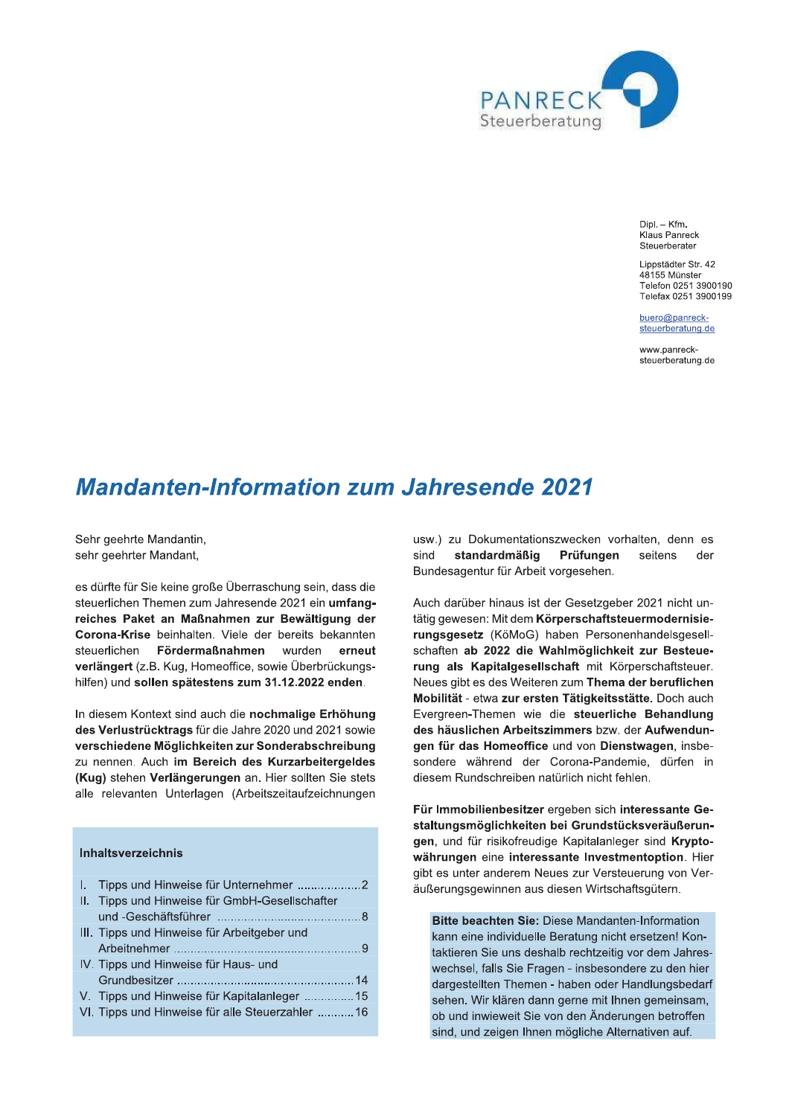

Dipl. - Kfm. Klaus Panreck Steuerberater

Lippstädter Str. 42 48155 Münster Telefon 0251 3900190 Telefax 0251 3900199

 $h$ uero $\omega$ nanrecksteuerberatung.de

www.panrecksteuerberatung.de

# **Mandanten-Information zum Jahresende 2021**

Sehr geehrte Mandantin, sehr geehrter Mandant,

es dürfte für Sie keine große Überraschung sein, dass die steuerlichen Themen zum Jahresende 2021 ein umfangreiches Paket an Maßnahmen zur Bewältigung der Corona-Krise beinhalten. Viele der bereits bekannten steuerlichen Fördermaßnahmen wurden erneut verlängert (z.B. Kug. Homeoffice, sowie Überbrückungshilfen) und sollen spätestens zum 31.12.2022 enden.

In diesem Kontext sind auch die nochmalige Erhöhung des Verlustrücktrags für die Jahre 2020 und 2021 sowie verschiedene Möglichkeiten zur Sonderabschreibung zu nennen. Auch im Bereich des Kurzarbeitergeldes (Kug) stehen Verlängerungen an. Hier sollten Sie stets alle relevanten Unterlagen (Arbeitszeitaufzeichnungen

# **Inhaltsverzeichnis**

| I. Tipps und Hinweise für Unternehmer 2          |
|--------------------------------------------------|
| II. Tipps und Hinweise für GmbH-Gesellschafter   |
|                                                  |
| III. Tipps und Hinweise für Arbeitgeber und      |
|                                                  |
| IV. Tipps und Hinweise für Haus- und             |
|                                                  |
| V. Tipps und Hinweise für Kapitalanleger 15      |
| VI. Tipps und Hinweise für alle Steuerzahler  16 |
|                                                  |

usw.) zu Dokumentationszwecken vorhalten, denn es sind standardmäßig Prüfungen seitens der Bundesagentur für Arbeit vorgesehen.

Auch darüber hinaus ist der Gesetzgeber 2021 nicht untätig gewesen: Mit dem Körperschaftsteuermodernisierungsgesetz (KöMoG) haben Personenhandelsgesellschaften ab 2022 die Wahlmöglichkeit zur Besteuerung als Kapitalgesellschaft mit Körperschaftsteuer. Neues gibt es des Weiteren zum Thema der beruflichen Mobilität - etwa zur ersten Tätigkeitsstätte. Doch auch Evergreen-Themen wie die steuerliche Behandlung des häuslichen Arbeitszimmers bzw. der Aufwendungen für das Homeoffice und von Dienstwagen, insbesondere während der Corona-Pandemie, dürfen in diesem Rundschreiben natürlich nicht fehlen.

Für Immobilienbesitzer ergeben sich interessante Gestaltungsmöglichkeiten bei Grundstücksveräußerungen, und für risikofreudige Kapitalanleger sind Kryptowährungen eine interessante Investmentoption. Hier gibt es unter anderem Neues zur Versteuerung von Veräußerungsgewinnen aus diesen Wirtschaftsgütern.

Bitte beachten Sie: Diese Mandanten-Information kann eine individuelle Beratung nicht ersetzen! Kontaktieren Sie uns deshalb rechtzeitig vor dem Jahreswechsel, falls Sie Fragen - insbesondere zu den hier dargestellten Themen - haben oder Handlungsbedarf sehen. Wir klären dann gerne mit Ihnen gemeinsam, ob und inwieweit Sie von den Änderungen betroffen sind, und zeigen Ihnen mögliche Alternativen auf.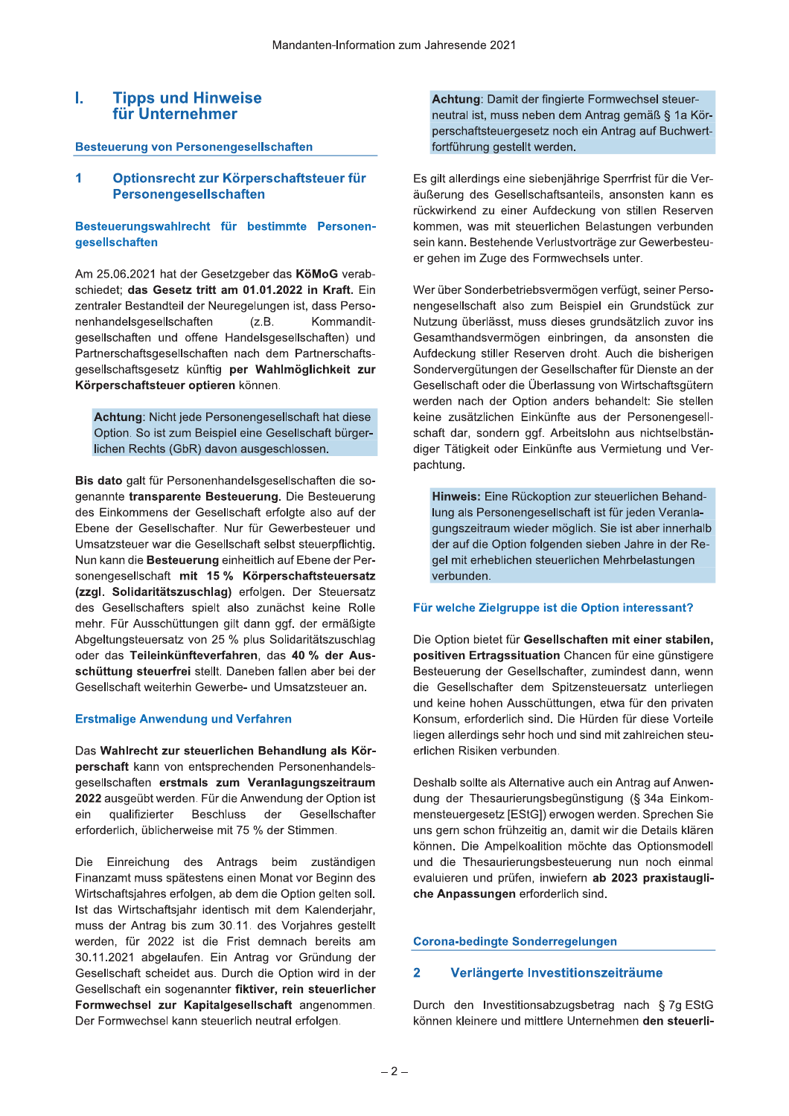### L **Tipps und Hinweise** für Unternehmer

# **Besteuerung von Personengesellschaften**

#### 1 Optionsrecht zur Körperschaftsteuer für Personengesellschaften

# Besteuerungswahlrecht für bestimmte Personengesellschaften

Am 25.06.2021 hat der Gesetzgeber das KöMoG verabschiedet; das Gesetz tritt am 01.01.2022 in Kraft. Ein zentraler Bestandteil der Neuregelungen ist, dass Personenhandelsgesellschaften  $(Z.B.$ Kommanditgesellschaften und offene Handelsgesellschaften) und Partnerschaftsgesellschaften nach dem Partnerschaftsgesellschaftsgesetz künftig per Wahlmöglichkeit zur Körperschaftsteuer optieren können.

Achtung: Nicht jede Personengesellschaft hat diese Option. So ist zum Beispiel eine Gesellschaft bürgerlichen Rechts (GbR) davon ausgeschlossen.

Bis dato galt für Personenhandelsgesellschaften die sogenannte transparente Besteuerung. Die Besteuerung des Einkommens der Gesellschaft erfolgte also auf der Ebene der Gesellschafter. Nur für Gewerbesteuer und Umsatzsteuer war die Gesellschaft selbst steuerpflichtig. Nun kann die Besteuerung einheitlich auf Ebene der Personengesellschaft mit 15 % Körperschaftsteuersatz (zzgl. Solidaritätszuschlag) erfolgen. Der Steuersatz des Gesellschafters spielt also zunächst keine Rolle mehr. Für Ausschüttungen gilt dann ggf. der ermäßigte Abgeltungsteuersatz von 25 % plus Solidaritätszuschlag oder das Teileinkünfteverfahren, das 40 % der Ausschüttung steuerfrei stellt. Daneben fallen aber bei der Gesellschaft weiterhin Gewerbe- und Umsatzsteuer an.

# **Erstmalige Anwendung und Verfahren**

Das Wahlrecht zur steuerlichen Behandlung als Körperschaft kann von entsprechenden Personenhandelsgesellschaften erstmals zum Veranlagungszeitraum 2022 ausgeübt werden. Für die Anwendung der Option ist qualifizierter **Beschluss** der Gesellschafter ein erforderlich, üblicherweise mit 75 % der Stimmen.

Die Einreichung des Antrags beim zuständigen Finanzamt muss spätestens einen Monat vor Beginn des Wirtschaftsjahres erfolgen, ab dem die Option gelten soll. Ist das Wirtschaftsjahr identisch mit dem Kalenderjahr, muss der Antrag bis zum 30.11. des Vorjahres gestellt werden, für 2022 ist die Frist demnach bereits am 30.11.2021 abgelaufen. Ein Antrag vor Gründung der Gesellschaft scheidet aus. Durch die Option wird in der Gesellschaft ein sogenannter fiktiver, rein steuerlicher Formwechsel zur Kapitalgesellschaft angenommen. Der Formwechsel kann steuerlich neutral erfolgen.

Achtung: Damit der fingierte Formwechsel steuerneutral ist, muss neben dem Antrag gemäß § 1a Körperschaftsteuergesetz noch ein Antrag auf Buchwertfortführung gestellt werden.

Es gilt allerdings eine siebenjährige Sperrfrist für die Veräußerung des Gesellschaftsanteils, ansonsten kann es rückwirkend zu einer Aufdeckung von stillen Reserven kommen, was mit steuerlichen Belastungen verbunden sein kann. Bestehende Verlustvorträge zur Gewerbesteuer gehen im Zuge des Formwechsels unter.

Wer über Sonderbetriebsvermögen verfügt, seiner Personengesellschaft also zum Beispiel ein Grundstück zur Nutzung überlässt, muss dieses grundsätzlich zuvor ins Gesamthandsvermögen einbringen, da ansonsten die Aufdeckung stiller Reserven droht. Auch die bisherigen Sondervergütungen der Gesellschafter für Dienste an der Gesellschaft oder die Überlassung von Wirtschaftsgütern werden nach der Option anders behandelt: Sie stellen keine zusätzlichen Einkünfte aus der Personengesellschaft dar, sondern ggf. Arbeitslohn aus nichtselbständiger Tätigkeit oder Einkünfte aus Vermietung und Verpachtung.

Hinweis: Eine Rückoption zur steuerlichen Behandlung als Personengesellschaft ist für jeden Veranlagungszeitraum wieder möglich. Sie ist aber innerhalb der auf die Option folgenden sieben Jahre in der Regel mit erheblichen steuerlichen Mehrbelastungen verbunden.

# Für welche Zielgruppe ist die Option interessant?

Die Option bietet für Gesellschaften mit einer stabilen, positiven Ertragssituation Chancen für eine günstigere Besteuerung der Gesellschafter, zumindest dann, wenn die Gesellschafter dem Spitzensteuersatz unterliegen und keine hohen Ausschüttungen, etwa für den privaten Konsum, erforderlich sind. Die Hürden für diese Vorteile liegen allerdings sehr hoch und sind mit zahlreichen steuerlichen Risiken verbunden.

Deshalb sollte als Alternative auch ein Antrag auf Anwendung der Thesaurierungsbegünstigung (§ 34a Einkommensteuergesetz [EStG]) erwogen werden. Sprechen Sie uns gern schon frühzeitig an, damit wir die Details klären können. Die Ampelkoalition möchte das Optionsmodell und die Thesaurierungsbesteuerung nun noch einmal evaluieren und prüfen, inwiefern ab 2023 praxistaugliche Anpassungen erforderlich sind.

# **Corona-bedingte Sonderregelungen**

#### $\overline{2}$ Verlängerte Investitionszeiträume

Durch den Investitionsabzugsbetrag nach § 7g EStG können kleinere und mittlere Unternehmen den steuerli-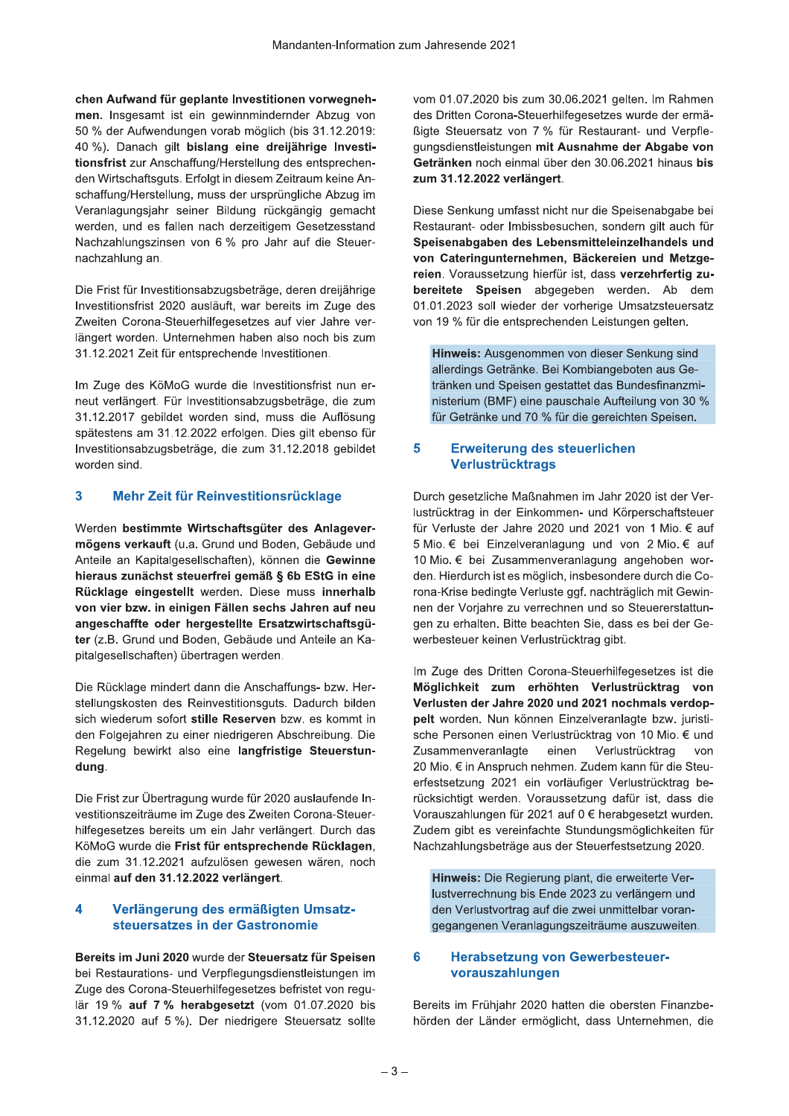chen Aufwand für geplante Investitionen vorwegnehmen. Insgesamt ist ein gewinnmindernder Abzug von 50 % der Aufwendungen vorab möglich (bis 31.12.2019: 40 %). Danach gilt bislang eine dreijährige Investitionsfrist zur Anschaffung/Herstellung des entsprechenden Wirtschaftsguts. Erfolgt in diesem Zeitraum keine Anschaffung/Herstellung, muss der ursprüngliche Abzug im Veranlagungsjahr seiner Bildung rückgängig gemacht werden, und es fallen nach derzeitigem Gesetzesstand Nachzahlungszinsen von 6 % pro Jahr auf die Steuernachzahlung an.

Die Frist für Investitionsabzugsbeträge, deren dreijährige Investitionsfrist 2020 ausläuft, war bereits im Zuge des Zweiten Corona-Steuerhilfegesetzes auf vier Jahre verlängert worden. Unternehmen haben also noch bis zum 31.12.2021 Zeit für entsprechende Investitionen.

Im Zuge des KöMoG wurde die Investitionsfrist nun erneut verlängert. Für Investitionsabzugsbeträge, die zum 31.12.2017 gebildet worden sind, muss die Auflösung spätestens am 31.12.2022 erfolgen. Dies gilt ebenso für Investitionsabzugsbeträge, die zum 31.12.2018 gebildet worden sind.

#### $\overline{3}$ Mehr Zeit für Reinvestitionsrücklage

Werden bestimmte Wirtschaftsgüter des Anlagevermögens verkauft (u.a. Grund und Boden, Gebäude und Anteile an Kapitalgesellschaften), können die Gewinne hieraus zunächst steuerfrei gemäß § 6b EStG in eine Rücklage eingestellt werden. Diese muss innerhalb von vier bzw. in einigen Fällen sechs Jahren auf neu angeschaffte oder hergestellte Ersatzwirtschaftsgüter (z.B. Grund und Boden, Gebäude und Anteile an Kapitalgesellschaften) übertragen werden.

Die Rücklage mindert dann die Anschaffungs- bzw. Herstellungskosten des Reinvestitionsguts. Dadurch bilden sich wiederum sofort stille Reserven bzw. es kommt in den Folgejahren zu einer niedrigeren Abschreibung. Die Regelung bewirkt also eine langfristige Steuerstundung.

Die Frist zur Übertragung wurde für 2020 auslaufende Investitionszeiträume im Zuge des Zweiten Corona-Steuerhilfegesetzes bereits um ein Jahr verlängert. Durch das KöMoG wurde die Frist für entsprechende Rücklagen, die zum 31.12.2021 aufzulösen gewesen wären, noch einmal auf den 31.12.2022 verlängert.

#### $\overline{\mathbf{A}}$ Verlängerung des ermäßigten Umsatzsteuersatzes in der Gastronomie

Bereits im Juni 2020 wurde der Steuersatz für Speisen bei Restaurations- und Verpflegungsdienstleistungen im Zuge des Corona-Steuerhilfegesetzes befristet von regulär 19 % auf 7 % herabgesetzt (vom 01.07.2020 bis 31.12.2020 auf 5 %). Der niedrigere Steuersatz sollte vom 01.07.2020 bis zum 30.06.2021 gelten. Im Rahmen des Dritten Corona-Steuerhilfegesetzes wurde der ermäßigte Steuersatz von 7 % für Restaurant- und Verpflegungsdienstleistungen mit Ausnahme der Abgabe von Getränken noch einmal über den 30.06.2021 hinaus bis zum 31.12.2022 verlängert.

Diese Senkung umfasst nicht nur die Speisenabgabe bei Restaurant- oder Imbissbesuchen, sondern gilt auch für Speisenabgaben des Lebensmitteleinzelhandels und von Cateringunternehmen, Bäckereien und Metzgereien. Voraussetzung hierfür ist, dass verzehrfertig zubereitete Speisen abgegeben werden. Ab dem 01.01.2023 soll wieder der vorherige Umsatzsteuersatz von 19 % für die entsprechenden Leistungen gelten.

Hinweis: Ausgenommen von dieser Senkung sind allerdings Getränke. Bei Kombiangeboten aus Getränken und Speisen gestattet das Bundesfinanzministerium (BMF) eine pauschale Aufteilung von 30 % für Getränke und 70 % für die gereichten Speisen.

#### 5 Erweiterung des steuerlichen **Verlustrücktrags**

Durch gesetzliche Maßnahmen im Jahr 2020 ist der Verlustrücktrag in der Einkommen- und Körperschaftsteuer für Verluste der Jahre 2020 und 2021 von 1 Mio. € auf 5 Mio. € bei Einzelveranlagung und von 2 Mio. € auf 10 Mio. € bei Zusammenveranlagung angehoben worden. Hierdurch ist es möglich, insbesondere durch die Corona-Krise bedingte Verluste ggf. nachträglich mit Gewinnen der Vorjahre zu verrechnen und so Steuererstattungen zu erhalten. Bitte beachten Sie, dass es bei der Gewerbesteuer keinen Verlustrücktrag gibt.

Im Zuge des Dritten Corona-Steuerhilfegesetzes ist die Möglichkeit zum erhöhten Verlustrücktrag von Verlusten der Jahre 2020 und 2021 nochmals verdoppelt worden. Nun können Einzelveranlagte bzw. juristische Personen einen Verlustrücktrag von 10 Mio. € und Zusammenveranlagte einen Verlustrücktrag von 20 Mio. € in Anspruch nehmen. Zudem kann für die Steuerfestsetzung 2021 ein vorläufiger Verlustrücktrag berücksichtigt werden. Voraussetzung dafür ist, dass die Vorauszahlungen für 2021 auf 0 € herabgesetzt wurden. Zudem gibt es vereinfachte Stundungsmöglichkeiten für Nachzahlungsbeträge aus der Steuerfestsetzung 2020.

Hinweis: Die Regierung plant, die erweiterte Verlustverrechnung bis Ende 2023 zu verlängern und den Verlustvortrag auf die zwei unmittelbar vorangegangenen Veranlagungszeiträume auszuweiten.

### 6 **Herabsetzung von Gewerbesteuer**vorauszahlungen

Bereits im Frühjahr 2020 hatten die obersten Finanzbehörden der Länder ermöglicht, dass Unternehmen, die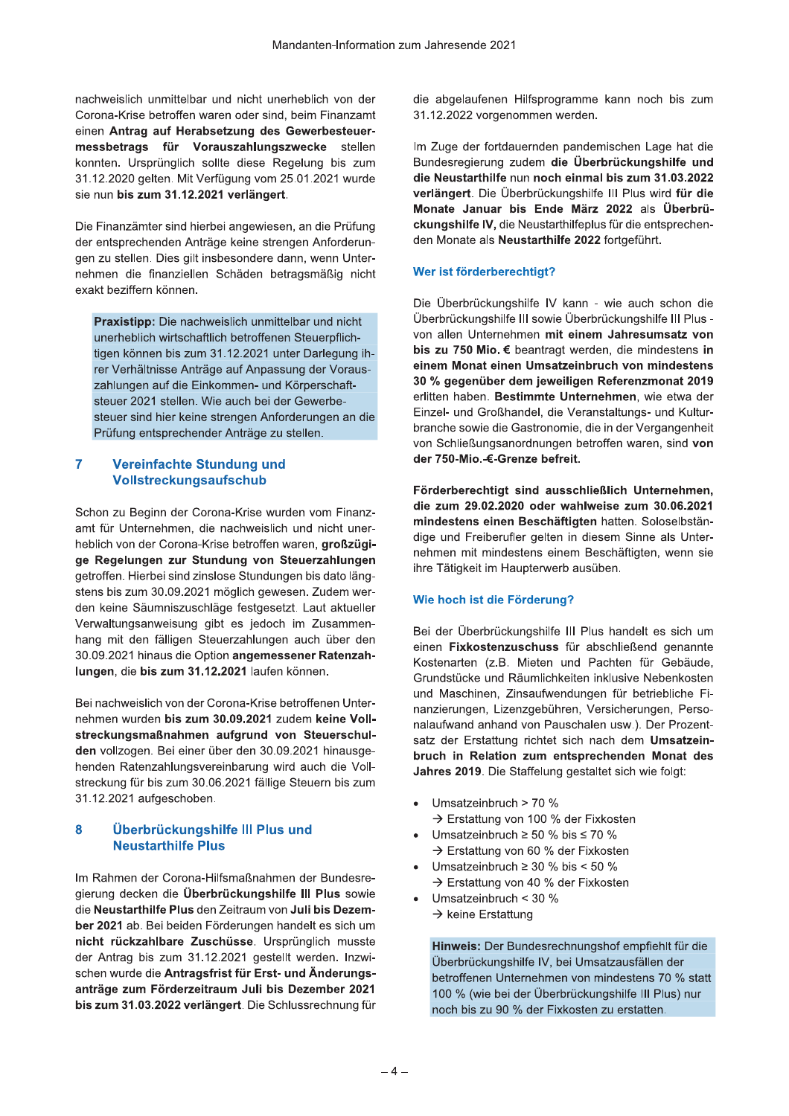nachweislich unmittelbar und nicht unerheblich von der Corona-Krise betroffen waren oder sind, beim Finanzamt einen Antrag auf Herabsetzung des Gewerbesteuermessbetrags für Vorauszahlungszwecke stellen konnten. Ursprünglich sollte diese Regelung bis zum 31.12.2020 gelten. Mit Verfügung vom 25.01.2021 wurde sie nun bis zum 31.12.2021 verlängert.

Die Finanzämter sind hierbei angewiesen, an die Prüfung der entsprechenden Anträge keine strengen Anforderungen zu stellen. Dies gilt insbesondere dann, wenn Unternehmen die finanziellen Schäden betragsmäßig nicht exakt beziffern können.

Praxistipp: Die nachweislich unmittelbar und nicht unerheblich wirtschaftlich betroffenen Steuerpflichtigen können bis zum 31.12.2021 unter Darlegung ihrer Verhältnisse Anträge auf Anpassung der Vorauszahlungen auf die Einkommen- und Körperschaftsteuer 2021 stellen. Wie auch bei der Gewerbesteuer sind hier keine strengen Anforderungen an die Prüfung entsprechender Anträge zu stellen.

## $\overline{7}$ **Vereinfachte Stundung und Vollstreckungsaufschub**

Schon zu Beginn der Corona-Krise wurden vom Finanzamt für Unternehmen, die nachweislich und nicht unerheblich von der Corona-Krise betroffen waren, großzügige Regelungen zur Stundung von Steuerzahlungen getroffen. Hierbei sind zinslose Stundungen bis dato längstens bis zum 30.09.2021 möglich gewesen. Zudem werden keine Säumniszuschläge festgesetzt. Laut aktueller Verwaltungsanweisung gibt es jedoch im Zusammenhang mit den fälligen Steuerzahlungen auch über den 30.09.2021 hinaus die Option angemessener Ratenzahlungen, die bis zum 31.12.2021 laufen können.

Bei nachweislich von der Corona-Krise betroffenen Unternehmen wurden bis zum 30.09.2021 zudem keine Vollstreckungsmaßnahmen aufgrund von Steuerschulden vollzogen. Bei einer über den 30.09.2021 hinausgehenden Ratenzahlungsvereinbarung wird auch die Vollstreckung für bis zum 30.06.2021 fällige Steuern bis zum 31.12.2021 aufgeschoben.

### 8 Überbrückungshilfe III Plus und **Neustarthilfe Plus**

Im Rahmen der Corona-Hilfsmaßnahmen der Bundesregierung decken die Überbrückungshilfe III Plus sowie die Neustarthilfe Plus den Zeitraum von Juli bis Dezember 2021 ab. Bei beiden Förderungen handelt es sich um nicht rückzahlbare Zuschüsse. Ursprünglich musste der Antrag bis zum 31.12.2021 gestellt werden. Inzwischen wurde die Antragsfrist für Erst- und Änderungsanträge zum Förderzeitraum Juli bis Dezember 2021 bis zum 31.03.2022 verlängert. Die Schlussrechnung für die abgelaufenen Hilfsprogramme kann noch bis zum 31.12.2022 vorgenommen werden.

Im Zuge der fortdauernden pandemischen Lage hat die Bundesregierung zudem die Überbrückungshilfe und die Neustarthilfe nun noch einmal bis zum 31.03.2022 verlängert. Die Überbrückungshilfe III Plus wird für die Monate Januar bis Ende März 2022 als Überbrückungshilfe IV, die Neustarthilfeplus für die entsprechenden Monate als Neustarthilfe 2022 fortgeführt.

# Wer ist förderberechtigt?

Die Überbrückungshilfe IV kann - wie auch schon die Überbrückungshilfe III sowie Überbrückungshilfe III Plus von allen Unternehmen mit einem Jahresumsatz von bis zu 750 Mio. € beantragt werden, die mindestens in einem Monat einen Umsatzeinbruch von mindestens 30 % gegenüber dem jeweiligen Referenzmonat 2019 erlitten haben. Bestimmte Unternehmen, wie etwa der Einzel- und Großhandel, die Veranstaltungs- und Kulturbranche sowie die Gastronomie, die in der Vergangenheit von Schließungsanordnungen betroffen waren, sind von der 750-Mio.-€-Grenze befreit.

Förderberechtigt sind ausschließlich Unternehmen, die zum 29.02.2020 oder wahlweise zum 30.06.2021 mindestens einen Beschäftigten hatten. Soloselbständige und Freiberufler gelten in diesem Sinne als Unternehmen mit mindestens einem Beschäftigten, wenn sie ihre Tätigkeit im Haupterwerb ausüben.

# Wie hoch ist die Förderung?

Bei der Überbrückungshilfe III Plus handelt es sich um einen Fixkostenzuschuss für abschließend genannte Kostenarten (z.B. Mieten und Pachten für Gebäude. Grundstücke und Räumlichkeiten inklusive Nebenkosten und Maschinen, Zinsaufwendungen für betriebliche Finanzierungen, Lizenzgebühren, Versicherungen, Personalaufwand anhand von Pauschalen usw.). Der Prozentsatz der Erstattung richtet sich nach dem Umsatzeinbruch in Relation zum entsprechenden Monat des Jahres 2019. Die Staffelung gestaltet sich wie folgt:

- Umsatzeinbruch > 70 % → Erstattung von 100 % der Fixkosten
- Umsatzeinbruch  $\geq$  50 % bis  $\leq$  70 % → Erstattung von 60 % der Fixkosten
- Umsatzeinbruch  $\geq$  30 % bis < 50 % → Erstattung von 40 % der Fixkosten
- Umsatzeinbruch <  $30\%$ 
	- $\rightarrow$  keine Erstattung

Hinweis: Der Bundesrechnungshof empfiehlt für die Überbrückungshilfe IV, bei Umsatzausfällen der betroffenen Unternehmen von mindestens 70 % statt 100 % (wie bei der Überbrückungshilfe III Plus) nur noch bis zu 90 % der Fixkosten zu erstatten.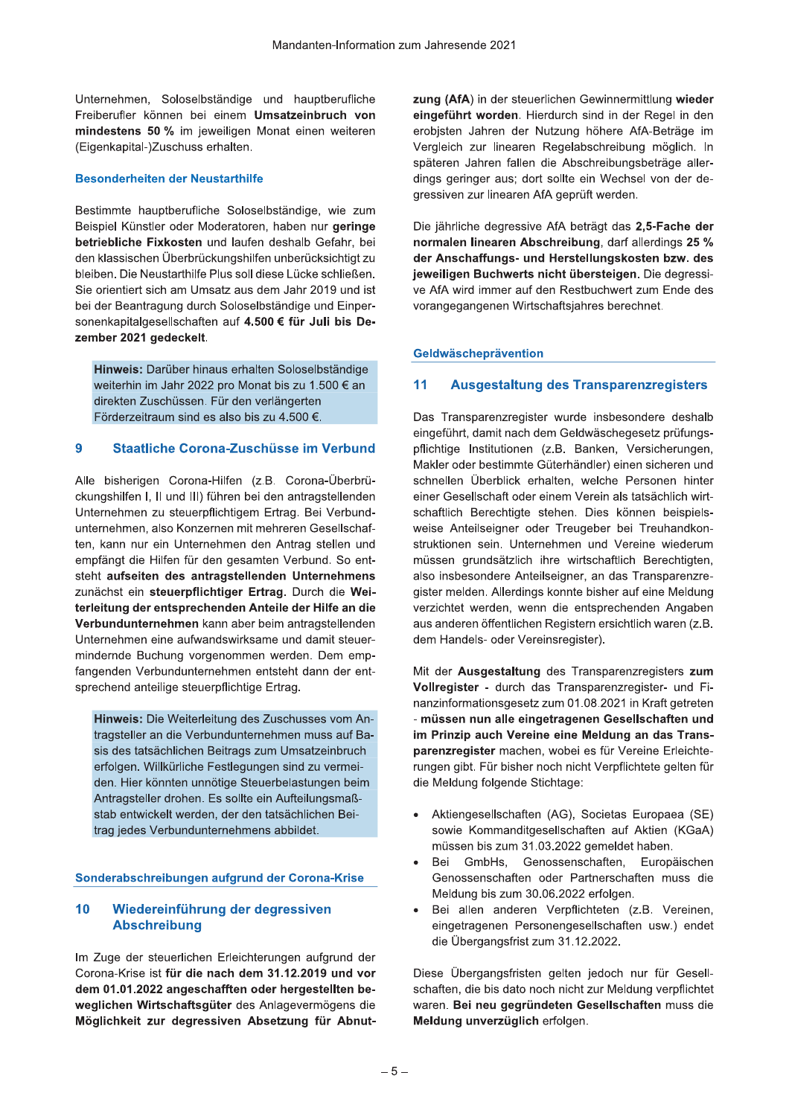Unternehmen, Soloselbständige und hauptberufliche Freiberufler können bei einem Umsatzeinbruch von mindestens 50 % im jeweiligen Monat einen weiteren (Eigenkapital-)Zuschuss erhalten.

# **Besonderheiten der Neustarthilfe**

Bestimmte hauptberufliche Soloselbständige, wie zum Beispiel Künstler oder Moderatoren, haben nur geringe betriebliche Fixkosten und laufen deshalb Gefahr, bei den klassischen Überbrückungshilfen unberücksichtigt zu bleiben. Die Neustarthilfe Plus soll diese Lücke schließen. Sie orientiert sich am Umsatz aus dem Jahr 2019 und ist bei der Beantragung durch Soloselbständige und Einpersonenkapitalgesellschaften auf 4.500 € für Juli bis Dezember 2021 gedeckelt.

Hinweis: Darüber hinaus erhalten Soloselbständige weiterhin im Jahr 2022 pro Monat bis zu 1.500 € an direkten Zuschüssen. Für den verlängerten Förderzeitraum sind es also bis zu 4.500 €.

#### $\overline{9}$ Staatliche Corona-Zuschüsse im Verbund

Alle bisherigen Corona-Hilfen (z.B. Corona-Überbrückungshilfen I, II und III) führen bei den antragstellenden Unternehmen zu steuerpflichtigem Ertrag. Bei Verbundunternehmen, also Konzernen mit mehreren Gesellschaften, kann nur ein Unternehmen den Antrag stellen und empfängt die Hilfen für den gesamten Verbund. So entsteht aufseiten des antragstellenden Unternehmens zunächst ein steuerpflichtiger Ertrag. Durch die Weiterleitung der entsprechenden Anteile der Hilfe an die Verbundunternehmen kann aber beim antragstellenden Unternehmen eine aufwandswirksame und damit steuermindernde Buchung vorgenommen werden. Dem empfangenden Verbundunternehmen entsteht dann der entsprechend anteilige steuerpflichtige Ertrag.

Hinweis: Die Weiterleitung des Zuschusses vom Antragsteller an die Verbundunternehmen muss auf Basis des tatsächlichen Beitrags zum Umsatzeinbruch erfolgen. Willkürliche Festlegungen sind zu vermeiden. Hier könnten unnötige Steuerbelastungen beim Antragsteller drohen. Es sollte ein Aufteilungsmaßstab entwickelt werden, der den tatsächlichen Beitrag jedes Verbundunternehmens abbildet.

# Sonderabschreibungen aufgrund der Corona-Krise

### $10$ Wiedereinführung der degressiven **Abschreibung**

Im Zuge der steuerlichen Erleichterungen aufgrund der Corona-Krise ist für die nach dem 31.12.2019 und vor dem 01.01.2022 angeschafften oder hergestellten beweglichen Wirtschaftsgüter des Anlagevermögens die Möglichkeit zur degressiven Absetzung für Abnutzung (AfA) in der steuerlichen Gewinnermittlung wieder eingeführt worden. Hierdurch sind in der Regel in den erobisten Jahren der Nutzung höhere AfA-Beträge im Vergleich zur linearen Regelabschreibung möglich. In späteren Jahren fallen die Abschreibungsbeträge allerdings geringer aus; dort sollte ein Wechsel von der degressiven zur linearen AfA geprüft werden.

Die jährliche degressive AfA beträgt das 2,5-Fache der normalen linearen Abschreibung, darf allerdings 25 % der Anschaffungs- und Herstellungskosten bzw. des jeweiligen Buchwerts nicht übersteigen. Die degressive AfA wird immer auf den Restbuchwert zum Ende des vorangegangenen Wirtschaftsjahres berechnet.

# Geldwäscheprävention

#### $11$ **Ausgestaltung des Transparenzregisters**

Das Transparenzregister wurde insbesondere deshalb eingeführt, damit nach dem Geldwäschegesetz prüfungspflichtige Institutionen (z.B. Banken, Versicherungen, Makler oder bestimmte Güterhändler) einen sicheren und schnellen Überblick erhalten, welche Personen hinter einer Gesellschaft oder einem Verein als tatsächlich wirtschaftlich Berechtigte stehen. Dies können beispielsweise Anteilseigner oder Treugeber bei Treuhandkonstruktionen sein. Unternehmen und Vereine wiederum müssen grundsätzlich ihre wirtschaftlich Berechtigten, also insbesondere Anteilseigner, an das Transparenzregister melden. Allerdings konnte bisher auf eine Meldung verzichtet werden, wenn die entsprechenden Angaben aus anderen öffentlichen Registern ersichtlich waren (z.B. dem Handels- oder Vereinsregister).

Mit der Ausgestaltung des Transparenzregisters zum Vollregister - durch das Transparenzregister- und Finanzinformationsgesetz zum 01.08.2021 in Kraft getreten - müssen nun alle eingetragenen Gesellschaften und im Prinzip auch Vereine eine Meldung an das Transparenzregister machen, wobei es für Vereine Erleichterungen gibt. Für bisher noch nicht Verpflichtete gelten für die Meldung folgende Stichtage:

- Aktiengesellschaften (AG), Societas Europaea (SE) sowie Kommanditgesellschaften auf Aktien (KGaA) müssen bis zum 31.03.2022 gemeldet haben.
- GmbHs, Genossenschaften, Europäischen Bei Genossenschaften oder Partnerschaften muss die Meldung bis zum 30.06.2022 erfolgen.
- Bei allen anderen Verpflichteten (z.B. Vereinen, eingetragenen Personengesellschaften usw.) endet die Übergangsfrist zum 31.12.2022.

Diese Übergangsfristen gelten jedoch nur für Gesellschaften, die bis dato noch nicht zur Meldung verpflichtet waren. Bei neu gegründeten Gesellschaften muss die Meldung unverzüglich erfolgen.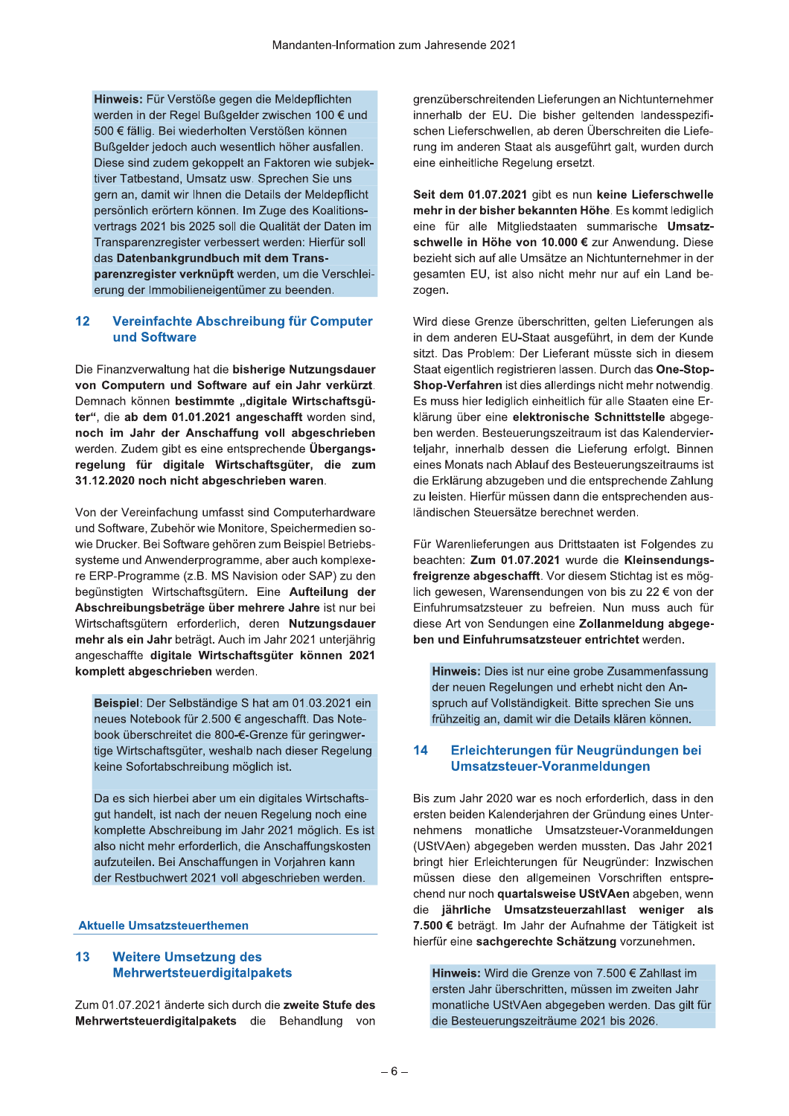Hinweis: Für Verstöße gegen die Meldepflichten werden in der Regel Bußgelder zwischen 100 € und 500 € fällig. Bei wiederholten Verstößen können Bußgelder jedoch auch wesentlich höher ausfallen. Diese sind zudem gekoppelt an Faktoren wie subjektiver Tatbestand, Umsatz usw. Sprechen Sie uns gern an, damit wir Ihnen die Details der Meldepflicht persönlich erörtern können. Im Zuge des Koalitionsvertrags 2021 bis 2025 soll die Qualität der Daten im Transparenzregister verbessert werden: Hierfür soll das Datenbankgrundbuch mit dem Transparenzregister verknüpft werden, um die Verschleierung der Immobilieneigentümer zu beenden.

### Vereinfachte Abschreibung für Computer  $12$ und Software

Die Finanzverwaltung hat die bisherige Nutzungsdauer von Computern und Software auf ein Jahr verkürzt. Demnach können bestimmte "digitale Wirtschaftsgüter", die ab dem 01.01.2021 angeschafft worden sind, noch im Jahr der Anschaffung voll abgeschrieben werden. Zudem gibt es eine entsprechende Übergangsregelung für digitale Wirtschaftsgüter, die zum 31.12.2020 noch nicht abgeschrieben waren.

Von der Vereinfachung umfasst sind Computerhardware und Software, Zubehör wie Monitore, Speichermedien sowie Drucker. Bei Software gehören zum Beispiel Betriebssysteme und Anwenderprogramme, aber auch komplexere ERP-Programme (z.B. MS Navision oder SAP) zu den begünstigten Wirtschaftsgütern. Eine Aufteilung der Abschreibungsbeträge über mehrere Jahre ist nur bei Wirtschaftsgütern erforderlich, deren Nutzungsdauer mehr als ein Jahr beträgt. Auch im Jahr 2021 unterjährig angeschaffte digitale Wirtschaftsgüter können 2021 komplett abgeschrieben werden.

Beispiel: Der Selbständige S hat am 01.03.2021 ein neues Notebook für 2.500 € angeschafft. Das Notebook überschreitet die 800-€-Grenze für geringwertige Wirtschaftsgüter, weshalb nach dieser Regelung keine Sofortabschreibung möglich ist.

Da es sich hierbei aber um ein digitales Wirtschaftsgut handelt, ist nach der neuen Regelung noch eine komplette Abschreibung im Jahr 2021 möglich. Es ist also nicht mehr erforderlich, die Anschaffungskosten aufzuteilen. Bei Anschaffungen in Vorjahren kann der Restbuchwert 2021 voll abgeschrieben werden.

# **Aktuelle Umsatzsteuerthemen**

#### $13$ **Weitere Umsetzung des Mehrwertsteuerdigitalpakets**

Zum 01.07.2021 änderte sich durch die zweite Stufe des Mehrwertsteuerdigitalpakets die Behandlung von grenzüberschreitenden Lieferungen an Nichtunternehmer innerhalb der EU. Die bisher geltenden landesspezifischen Lieferschwellen, ab deren Überschreiten die Lieferung im anderen Staat als ausgeführt galt, wurden durch eine einheitliche Regelung ersetzt.

Seit dem 01.07.2021 gibt es nun keine Lieferschwelle mehr in der bisher bekannten Höhe. Es kommt lediglich eine für alle Mitgliedstaaten summarische Umsatzschwelle in Höhe von 10.000 € zur Anwendung. Diese bezieht sich auf alle Umsätze an Nichtunternehmer in der gesamten EU, ist also nicht mehr nur auf ein Land bezogen.

Wird diese Grenze überschritten, gelten Lieferungen als in dem anderen EU-Staat ausgeführt, in dem der Kunde sitzt. Das Problem: Der Lieferant müsste sich in diesem Staat eigentlich registrieren lassen. Durch das One-Stop-Shop-Verfahren ist dies allerdings nicht mehr notwendig. Es muss hier lediglich einheitlich für alle Staaten eine Erklärung über eine elektronische Schnittstelle abgegeben werden. Besteuerungszeitraum ist das Kalendervierteljahr, innerhalb dessen die Lieferung erfolgt. Binnen eines Monats nach Ablauf des Besteuerungszeitraums ist die Erklärung abzugeben und die entsprechende Zahlung zu leisten. Hierfür müssen dann die entsprechenden ausländischen Steuersätze berechnet werden.

Für Warenlieferungen aus Drittstaaten ist Folgendes zu beachten: Zum 01.07.2021 wurde die Kleinsendungsfreigrenze abgeschafft. Vor diesem Stichtag ist es möglich gewesen. Warensendungen von bis zu 22 € von der Einfuhrumsatzsteuer zu befreien. Nun muss auch für diese Art von Sendungen eine Zollanmeldung abgegeben und Einfuhrumsatzsteuer entrichtet werden.

Hinweis: Dies ist nur eine grobe Zusammenfassung der neuen Regelungen und erhebt nicht den Anspruch auf Vollständigkeit. Bitte sprechen Sie uns frühzeitig an, damit wir die Details klären können.

#### 14 Erleichterungen für Neugründungen bei Umsatzsteuer-Voranmeldungen

Bis zum Jahr 2020 war es noch erforderlich, dass in den ersten beiden Kalenderjahren der Gründung eines Unternehmens monatliche Umsatzsteuer-Voranmeldungen (UStVAen) abgegeben werden mussten. Das Jahr 2021 bringt hier Erleichterungen für Neugründer: Inzwischen müssen diese den allgemeinen Vorschriften entsprechend nur noch quartalsweise UStVAen abgeben, wenn die jährliche Umsatzsteuerzahllast weniger als 7.500 € beträgt. Im Jahr der Aufnahme der Tätigkeit ist hierfür eine sachgerechte Schätzung vorzunehmen.

Hinweis: Wird die Grenze von 7.500 € Zahllast im ersten Jahr überschritten, müssen im zweiten Jahr monatliche UStVAen abgegeben werden. Das gilt für die Besteuerungszeiträume 2021 bis 2026.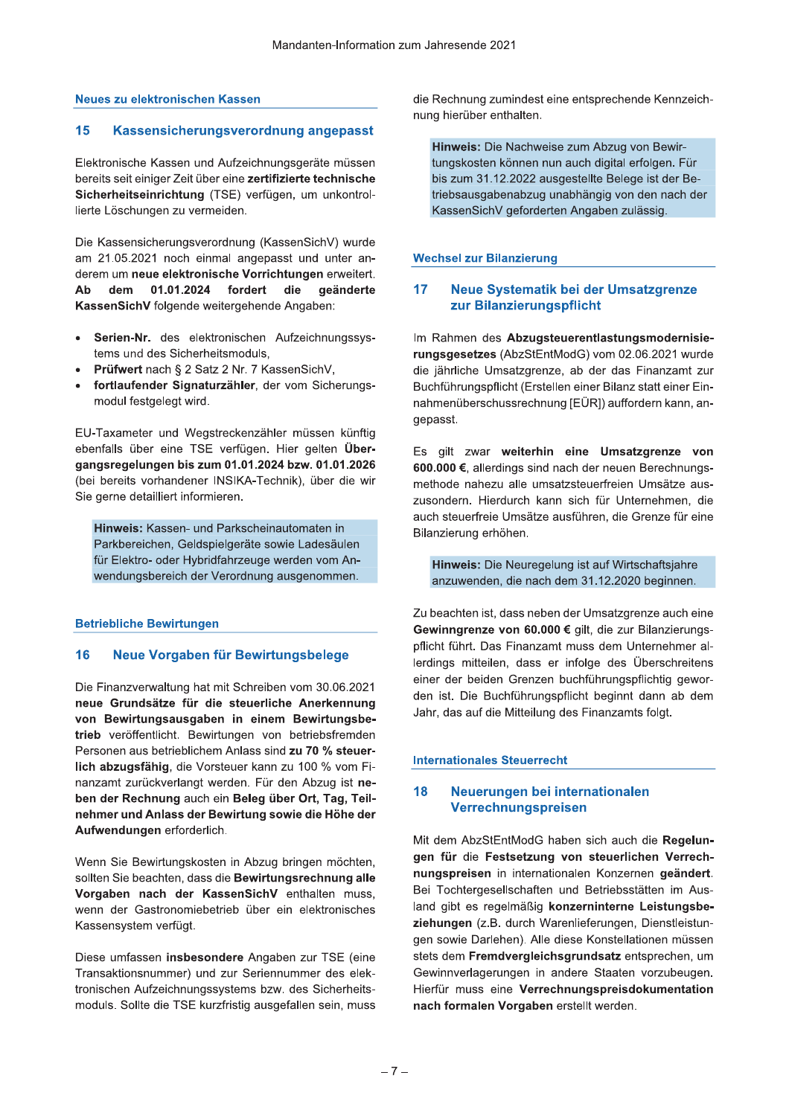# Neues zu elektronischen Kassen

#### 15 Kassensicherungsverordnung angepasst

Elektronische Kassen und Aufzeichnungsgeräte müssen bereits seit einiger Zeit über eine zertifizierte technische Sicherheitseinrichtung (TSE) verfügen, um unkontrollierte Löschungen zu vermeiden.

Die Kassensicherungsverordnung (KassenSichV) wurde am 21.05.2021 noch einmal angepasst und unter anderem um neue elektronische Vorrichtungen erweitert. Ab dem 01.01.2024 fordert die geänderte KassenSichV folgende weitergehende Angaben:

- Serien-Nr. des elektronischen Aufzeichnungssys- $\bullet$ tems und des Sicherheitsmoduls,
- Prüfwert nach § 2 Satz 2 Nr. 7 KassenSichV,
- fortlaufender Signaturzähler, der vom Sicherungsmodul festgelegt wird.

EU-Taxameter und Wegstreckenzähler müssen künftig ebenfalls über eine TSE verfügen. Hier gelten Übergangsregelungen bis zum 01.01.2024 bzw. 01.01.2026 (bei bereits vorhandener INSIKA-Technik), über die wir Sie gerne detailliert informieren.

Hinweis: Kassen- und Parkscheinautomaten in Parkbereichen, Geldspielgeräte sowie Ladesäulen für Elektro- oder Hybridfahrzeuge werden vom Anwendungsbereich der Verordnung ausgenommen.

# **Betriebliche Bewirtungen**

#### 16 Neue Vorgaben für Bewirtungsbelege

Die Finanzverwaltung hat mit Schreiben vom 30.06.2021 neue Grundsätze für die steuerliche Anerkennung von Bewirtungsausgaben in einem Bewirtungsbetrieb veröffentlicht. Bewirtungen von betriebsfremden Personen aus betrieblichem Anlass sind zu 70 % steuerlich abzugsfähig, die Vorsteuer kann zu 100 % vom Finanzamt zurückverlangt werden. Für den Abzug ist neben der Rechnung auch ein Beleg über Ort, Tag, Teilnehmer und Anlass der Bewirtung sowie die Höhe der Aufwendungen erforderlich.

Wenn Sie Bewirtungskosten in Abzug bringen möchten, sollten Sie beachten, dass die Bewirtungsrechnung alle Vorgaben nach der KassenSichV enthalten muss, wenn der Gastronomiebetrieb über ein elektronisches Kassensystem verfügt.

Diese umfassen insbesondere Angaben zur TSE (eine Transaktionsnummer) und zur Seriennummer des elektronischen Aufzeichnungssystems bzw. des Sicherheitsmoduls. Sollte die TSE kurzfristig ausgefallen sein, muss die Rechnung zumindest eine entsprechende Kennzeichnung hierüber enthalten.

Hinweis: Die Nachweise zum Abzug von Bewirtungskosten können nun auch digital erfolgen. Für bis zum 31.12.2022 ausgestellte Belege ist der Betriebsausgabenabzug unabhängig von den nach der KassenSichV geforderten Angaben zulässig.

# **Wechsel zur Bilanzierung**

#### Neue Systematik bei der Umsatzgrenze  $17$ zur Bilanzierungspflicht

Im Rahmen des Abzugsteuerentlastungsmodernisierungsgesetzes (AbzStEntModG) vom 02.06.2021 wurde die jährliche Umsatzgrenze, ab der das Finanzamt zur Buchführungspflicht (Erstellen einer Bilanz statt einer Einnahmenüberschussrechnung [EÜR]) auffordern kann, angepasst.

Es gilt zwar weiterhin eine Umsatzgrenze von 600.000 €, allerdings sind nach der neuen Berechnungsmethode nahezu alle umsatzsteuerfreien Umsätze auszusondern. Hierdurch kann sich für Unternehmen, die auch steuerfreie Umsätze ausführen, die Grenze für eine Bilanzierung erhöhen.

Hinweis: Die Neuregelung ist auf Wirtschaftsjahre anzuwenden, die nach dem 31.12.2020 beginnen.

Zu beachten ist, dass neben der Umsatzgrenze auch eine Gewinngrenze von 60.000 € gilt, die zur Bilanzierungspflicht führt. Das Finanzamt muss dem Unternehmer allerdings mitteilen, dass er infolge des Überschreitens einer der beiden Grenzen buchführungspflichtig geworden ist. Die Buchführungspflicht beginnt dann ab dem Jahr, das auf die Mitteilung des Finanzamts folgt.

# **Internationales Steuerrecht**

#### Neuerungen bei internationalen 18 Verrechnungspreisen

Mit dem AbzStEntModG haben sich auch die Regelungen für die Festsetzung von steuerlichen Verrechnungspreisen in internationalen Konzernen geändert. Bei Tochtergesellschaften und Betriebsstätten im Ausland gibt es regelmäßig konzerninterne Leistungsbeziehungen (z.B. durch Warenlieferungen, Dienstleistungen sowie Darlehen). Alle diese Konstellationen müssen stets dem Fremdvergleichsgrundsatz entsprechen, um Gewinnverlagerungen in andere Staaten vorzubeugen. Hierfür muss eine Verrechnungspreisdokumentation nach formalen Vorgaben erstellt werden.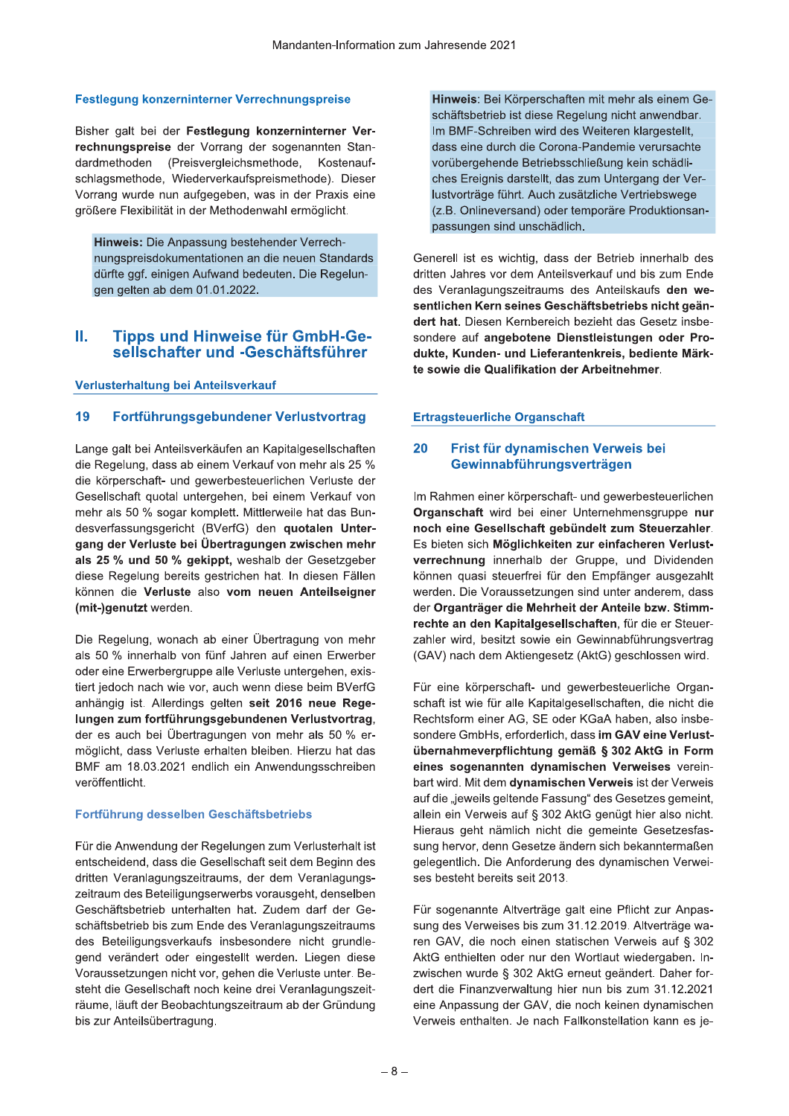# Festlegung konzerninterner Verrechnungspreise

Bisher galt bei der Festlegung konzerninterner Verrechnungspreise der Vorrang der sogenannten Standardmethoden (Preisvergleichsmethode, Kostenaufschlagsmethode, Wiederverkaufspreismethode). Dieser Vorrang wurde nun aufgegeben, was in der Praxis eine größere Flexibilität in der Methodenwahl ermöglicht.

Hinweis: Die Anpassung bestehender Verrechnungspreisdokumentationen an die neuen Standards dürfte ggf. einigen Aufwand bedeuten. Die Regelungen gelten ab dem 01.01.2022.

## Ш. **Tipps und Hinweise für GmbH-Ge**sellschafter und -Geschäftsführer

# Verlusterhaltung bei Anteilsverkauf

#### 19 Fortführungsgebundener Verlustvortrag

Lange galt bei Anteilsverkäufen an Kapitalgesellschaften die Regelung, dass ab einem Verkauf von mehr als 25 % die körperschaft- und gewerbesteuerlichen Verluste der Gesellschaft quotal untergehen, bei einem Verkauf von mehr als 50 % sogar komplett. Mittlerweile hat das Bundesverfassungsgericht (BVerfG) den quotalen Untergang der Verluste bei Übertragungen zwischen mehr als 25 % und 50 % gekippt, weshalb der Gesetzgeber diese Regelung bereits gestrichen hat. In diesen Fällen können die Verluste also vom neuen Anteilseigner (mit-)genutzt werden.

Die Regelung, wonach ab einer Übertragung von mehr als 50 % innerhalb von fünf Jahren auf einen Erwerber oder eine Erwerbergruppe alle Verluste untergehen, existiert jedoch nach wie vor, auch wenn diese beim BVerfG anhängig ist. Allerdings gelten seit 2016 neue Regelungen zum fortführungsgebundenen Verlustvortrag, der es auch bei Übertragungen von mehr als 50 % ermöglicht, dass Verluste erhalten bleiben. Hierzu hat das BMF am 18.03.2021 endlich ein Anwendungsschreiben veröffentlicht.

# Fortführung desselben Geschäftsbetriebs

Für die Anwendung der Regelungen zum Verlusterhalt ist entscheidend, dass die Gesellschaft seit dem Beginn des dritten Veranlagungszeitraums, der dem Veranlagungszeitraum des Beteiligungserwerbs vorausgeht, denselben Geschäftsbetrieb unterhalten hat. Zudem darf der Geschäftsbetrieb bis zum Ende des Veranlagungszeitraums des Beteiligungsverkaufs insbesondere nicht grundlegend verändert oder eingestellt werden. Liegen diese Voraussetzungen nicht vor, gehen die Verluste unter. Besteht die Gesellschaft noch keine drei Veranlagungszeiträume, läuft der Beobachtungszeitraum ab der Gründung bis zur Anteilsübertragung.

Hinweis: Bei Körperschaften mit mehr als einem Geschäftsbetrieb ist diese Regelung nicht anwendbar. Im BMF-Schreiben wird des Weiteren klargestellt, dass eine durch die Corona-Pandemie verursachte vorübergehende Betriebsschließung kein schädliches Ereignis darstellt, das zum Untergang der Verlustvorträge führt. Auch zusätzliche Vertriebswege (z.B. Onlineversand) oder temporäre Produktionsanpassungen sind unschädlich.

Generell ist es wichtig, dass der Betrieb innerhalb des dritten Jahres vor dem Anteilsverkauf und bis zum Ende des Veranlagungszeitraums des Anteilskaufs den wesentlichen Kern seines Geschäftsbetriebs nicht geändert hat. Diesen Kernbereich bezieht das Gesetz insbesondere auf angebotene Dienstleistungen oder Produkte, Kunden- und Lieferantenkreis, bediente Märkte sowie die Qualifikation der Arbeitnehmer.

# **Ertragsteuerliche Organschaft**

#### 20 Frist für dynamischen Verweis bei Gewinnabführungsverträgen

Im Rahmen einer körperschaft- und gewerbesteuerlichen Organschaft wird bei einer Unternehmensgruppe nur noch eine Gesellschaft gebündelt zum Steuerzahler. Es bieten sich Möglichkeiten zur einfacheren Verlustverrechnung innerhalb der Gruppe, und Dividenden können quasi steuerfrei für den Empfänger ausgezahlt werden. Die Voraussetzungen sind unter anderem, dass der Organträger die Mehrheit der Anteile bzw. Stimmrechte an den Kapitalgesellschaften, für die er Steuerzahler wird, besitzt sowie ein Gewinnabführungsvertrag (GAV) nach dem Aktiengesetz (AktG) geschlossen wird.

Für eine körperschaft- und gewerbesteuerliche Organschaft ist wie für alle Kapitalgesellschaften, die nicht die Rechtsform einer AG, SE oder KGaA haben, also insbesondere GmbHs, erforderlich, dass im GAV eine Verlustübernahmeverpflichtung gemäß § 302 AktG in Form eines sogenannten dynamischen Verweises vereinbart wird. Mit dem dynamischen Verweis ist der Verweis auf die "jeweils geltende Fassung" des Gesetzes gemeint, allein ein Verweis auf § 302 AktG genügt hier also nicht. Hieraus geht nämlich nicht die gemeinte Gesetzesfassung hervor, denn Gesetze ändern sich bekanntermaßen gelegentlich. Die Anforderung des dynamischen Verweises besteht bereits seit 2013.

Für sogenannte Altverträge galt eine Pflicht zur Anpassung des Verweises bis zum 31.12.2019. Altverträge waren GAV, die noch einen statischen Verweis auf § 302 AktG enthielten oder nur den Wortlaut wiedergaben. Inzwischen wurde § 302 AktG erneut geändert. Daher fordert die Finanzverwaltung hier nun bis zum 31.12.2021 eine Anpassung der GAV, die noch keinen dynamischen Verweis enthalten. Je nach Fallkonstellation kann es je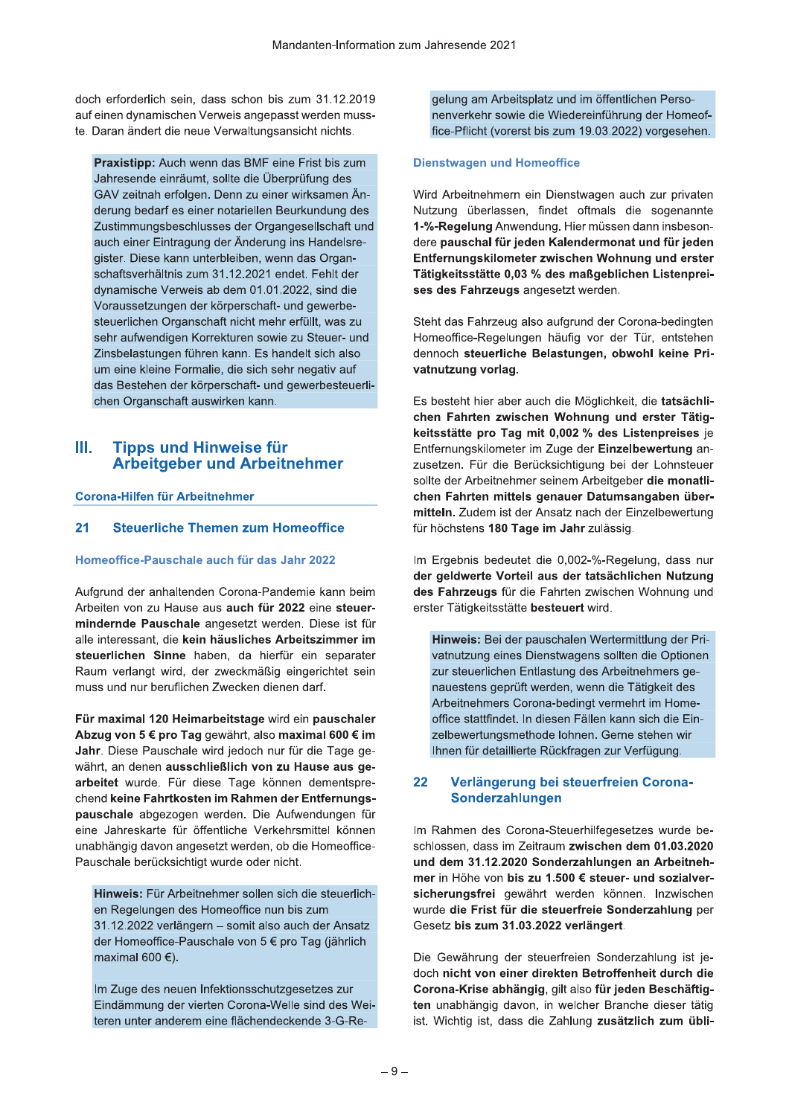doch erforderlich sein, dass schon bis zum 31.12.2019 auf einen dynamischen Verweis angepasst werden musste. Daran andert die neue Verwaltungsansicht nic

Mandament missing<br>
auf einen dynamischen Verweis angepasst werden muss<br>
te. Daran ändert die neue Verwaltungsansicht nichts.<br> **Praxistipp:** Auch wenn das BMF eine Frist bis zum<br>
Jahresende einräumt, sollte die Überprüfung n das BMF eine Frist bis zum Janresende einraumt, sollte die Uberprufung des GAV zeltnan erfolgen. Denn zu einer wirksamen Anderung bedart es einer notariellen Beurkundung des Zustimmungsbeschlusses der Organgesellschaft und aucn einer Eintragung der Anderung ins Handeisregister. Diese kann unterbielben, wenn das Organschaftsverhaltnis zum 31.12.2021 endet. Fenit der dynamische Verweis ab dem 01.01.2022, sind die voraussetzungen der korperschaft- und gewerbesteuerlichen Organschaft nicht mehr erfullt, was zu senr autwendigen Korrekturen sowie zu Steuer- und ∠insbelastungen funren kann. Es nandelt sich also um eine kielne Formalie, die sich sehr negativ auf das Bestenen der κοrperschaπ- und gewerbesteuer⊪chen Organschaft auswirken kann.

# III. Tipps und Hinweise für<br>Arbeitgeber und Arbeitnehmer

Frame Comparison of the Comparison of the Organschaft auswirken kann.<br>
III. Tipps und Hinweise für<br>
Corona-Hilfen für Arbeitnehmer<br>
Corona-Hilfen für Arbeitnehmer<br>
21 Steuerliche Themen zum Homeoffice<br>
Homeoffice-Pauschale und der annaltenden Corona-Pandemie kann beim Arbeiten von zu Hause aus **auch für zuzz** eine **steuer**ha-Hilfen für Arbeitnehmer<br>
Steuerliche Themen zum Homeoffice<br>
office-Pauschale auch für das Jahr 2022<br>
und der anhaltenden Corona-Pandemie kann<br>
en von zu Hause aus auch für 2022 eine st<br>
ernde Pauschale angesetzt werden. 21 Steuerliche Themen zum Hom<br>Homeoffice-Pauschale auch für das Jah<br>Aufgrund der anhaltenden Corona-Panden<br>Arbeiten von zu Hause aus auch für 2022<br>mindernde Pauschale angesetzt werden<br>alle interessant, die kein häusliches gesetzt werden. Diese ist für alle interessant, die **kein nausliches Arbeitszimmer im** steuerlichen Sinne naben, da nierrur ein separater Raum verlangt wird, der zweckmalsig eingerichtet sein muss und nur beruflichen ∠wecken dienen darf.

Arbeiten von zu Hause aus auch für 2022 eine steue<br>
mindernde Pauschale angesetzt werden. Diese ist t<br>
alle interessant, die kein häusliches Arbeitszimmer i<br>
steuerlichen Sinne haben, da hierfür ein separat<br>
Raum verlangt Für maximal 120 Heimarbeitstage wird ein pauschaler<br>Abzug von 5 € pro Tag gewährt, also maximal 600 € im aus auch für 2022 eine steuer-<br>
erster Tätig<br>
angesetzt werden. Diese ist für<br>
m häusliches Arbeitszimmer im<br>
aben, da hierfür ein separater<br>
er zweckmäßig eingerichtet sein<br>
m Zwecken dienen darf.<br>
arbeitstage wird ein mindernde Pauschale angesetzt werden.<br>
alle interessant, die kein häusliches Arbeit<br>
steuerlichen Sinne haben, da hierfür e<br>
Raum verlangt wird, der zweckmäßig eing<br>
muss und nur beruflichen Zwecken dienen c<br>
Für maximal mindernde Pauschale angesetzt werden. Diese ist für<br>
alle interessant, die kein häusliches Arbeitszimmer im<br>
steurlichen Sinne haben, da hierfür ein separater<br>
Raum verlangt wird, der zweckmäßig eingerichtet sein<br>
muss un a jedoch nur fur c Janr. Diese Pauschale wird jedoch nur für die Tage ge-<br>währt, an denen <mark>ausschließlich von zu Hause aus ge-</mark> **Steuerlichen Sinne** haben, da hierfür ein separater<br>
Raum verlangt wird, der zweckmäßig eingerichtet sein zur<br>
muss und nur beruflichen Zwecken dienen darf. The nume of the<br> **Für maximal 120 Heimarbeitstage** wird ein **p** de. Fur diese Tage konnen dementsprechend keine Fahrtkosten im Rahmen der Entfernungsmuss und nur beruflichen Zwecken dienen darf.<br>
Für maximal 120 Heimarbeitstage wird ein pauschaler<br>
Abzug von 5 € pro Tag gewährt, also maximal 600 € im<br>
Jahr. Diese Pauschale wird jedoch nur für die Tage ge-<br>
währt, an d werden. Die Aufwendungen fur eine Jahreskarte für offentliche Verkehrsmittel konnen unabhangig davon angesetzt werden, ob die Homeoffice-Pauschale berucksichtigt wurde oder nicht.

**HINWEIS:** Fur Arbeithenmer sollen sich die steuerlichen Regelungen des Homeoffice nun bis zum 31.12.2022 verlangern – somit also auch der Ansatz  $\alpha$ er Homeo $\alpha$ ice-Pauschale von 5 $\epsilon$  pro Tag (jahrlich maximal 600 $\epsilon$ ).

im Zuge des neuen infektionsschutzgesetzes zur Eindammung der vierten Corona-welle sind des Weiteren unter anderem eine flachendeckende 3-G-Regelung am Arbeitsplatz und im offentlichen Personenverkenr sowie die Wiedereinfunrung der Homeoffice-Pfilcht (vorerst bis zum 19.03.2022) vorgesenen.

2.2019 gelung am Arbeitsplatz und im öffentlichen Perso-<br>
muss-<br>
nenverkehr sowie die Wiedereinführung der Homeof-<br>
fice-Pflicht (vorerst bis zum 19.03.2022) vorgesehen.<br>
zum Dienstwagen und Homeoffice<br>
es<br>
m Än-<br>
Wird Arb d Arbeithehmern ein Dienstwagen auch zur privaten Nutzung uberlassen, findet oftmals die sogenannte 1-%-Regelung Anwendung. Hier mussen dann insbesondere pauschal für jeden Kalendermonat und für jeden<br>Entfernungskilometer zwischen Wohnung und erster Free-Pflicht (vorerst bis zum 19.03.2022) vorgesehen.<br>
vis zum<br>
Dienstwagen und Homeoffice<br>
des<br>
men Än-<br>
Wird Arbeitnehmern ein Dienstwagen auch zur privaten<br>
hen Än-<br>
Mird Arbeitnehmern ein Dienstwagen auch zur privaten<br> Dienstwagen und Homeoffice<br>Wird Arbeitnehmern ein Dienstwagen auch zur privaten<br>Nutzung überlassen, findet oftmals die sogenannte<br>1-%-Regelung Anwendung. Hier müssen dann insbeson-<br>dere pauschal für jeden Kalendermonat und Xanta Comparent Comparent Comparent Comparent Comparent Comparent Comparent Comparent Comparent Comparent Comparent Comparent Comparent Comparent Comparent Comparent Comparent Comparent Comparent Comparent Comparent Compar gesetzt werden.

Stent das Fanrzeug also autgrund der Corona-bedingten Homeomice-Regelungen naufig vor der Tur, entstenen aennc

Francelsre-<br>
Alternative provided and für jeden Kalendermonat und für jeden<br>
Itak Organ-<br>
Entfernungskilometer zwischen Wohnung und erster<br>
1. Fehlt der<br>
1. Grid die<br>
Ses des Fahrzeugs angesetzt werden.<br>
Italie, was zu<br>
St Es besteht hier aber auch die Möglichkeit, die tatsächli-<br>chen Fahrten zwischen Wohnung und erster Tätigfor the session of the session of the session of the session of the Herbert Homeoffice-Regelungen häufig vor der Tür, entstehen dennoch steuerliche Belastungen, obwohl keine Pri-<br>
auf variation of the server auch die Mögli tternungskilometer im Zuge der **Einzelbewertung** anzusetzen. Fur die Berucksichtigung bei der Lonnsteuer solite der Arbeithehmer seinem Arbeitgeber **d** vatuur vorlage.<br>
Es besteht hier aber auch die Möglichkeit, die tatsächlichen Fahrten zwischen Wohnung und erster Tätig-<br>
keitsstätte pro Tag mit 0,002 % des Listenpreises je<br>
Enfernungskilometer im Zuge der Einzelbewertun Ansatz nach der Einzelbewertung rur nocnstens chen Fahrten zwischen Wohnung und erster 1<br>
keitsstätte pro Tag mit 0,002 % des Listenpreis<br>
Enffernungskilometer im Zuge der Einzelbewertun<br>
zusetzen. Für die Berücksichtigung bei der Lohns<br>
sollte der Arbeitnehmer seinem zusetzen. Für die Berücksichtigung bei der Lohnsteuer<br>sollte der Arbeitnehmer seinem Arbeitgeber die monatli-<br>chen Fahrten mittels genauer Datumsangaben über-<br>mitteln. Zudem ist der Ansatz nach der Einzelbewertung<br>für höch

gebnis bedeutet die 0,002-%-Regelung, dass nur ale Fanrten zwischen wonnung und erster Tatigkeitsstatte **besteuert** wird.

sollte der Arbeitnehmer seine<br> **Chen Fahrten mittels gena**<br>
inteln. Zudem ist der Ansatice<br>
für höchstens 180 Tage im J<br>
22<br>
22 Im Ergebnis bedeutet die 0<br>
der geldwerte Vorteil aus<br>
4 en steuer-<br>
erster Tätigkeitsstätte b **HINWEIS:** Bel der pauschalen wertermittlung der Privatnutzung eines Dienstwagens sollten die Optionen a l zur steuerlichen Entlastung des Arbeitnehmers genauestens gepruft werden, wenn die Tatigkeit des Arbeithehmers Corona-bedingt vermehrt im Homeoffice stattfindet. In diesen Fallen kann sich die Einzelbewertungsmethode lohnen. Gerne stehen wir innen fur detaillierte Ruckfragen zur Verfugung

vantuzung eines Dienstwagens soliten die Optionen<br>
21 steuerlichen Entlastung des Arbeithenhmers ge-<br>
anauestens geprüft werden, wenn die Tätigkeit des<br>
Arbeithehmers Corona-bedingt vermehrt im Home-<br>
office stattfindet. I des Corona-Steuernilfegesetzes wurde beschlossen, dass im Zeitraum **zwischen dem 01.03.2020** Ihnen für detaillierte Rückfragen zur Verfügung.<br>
22 Verlängerung bei steuerfreien Corona-<br>
Sonderzahlungen<br>
Im Rahmen des Corona-Steuerhifegesetzes wurde be-<br>
schlossen, dass im Zeitraum zwischen dem 01.03.2020<br>
und dem mer in Höhe von bis zu 1.500 € steuer- und sozialver-22 Verlängerung bei steuerfreien Corona-<br>
Sonderzahlungen<br>
Im Rahmen des Corona-Steuerhilfegesetzes wurde be-<br>
schlossen, dass im Zeitraum zwischen dem 01.03.2020<br>
und dem 31.12.2020 Sonderzahlungen an Arbeitneh-<br>
mer in t werden konnen. Inzwischen wurde die Frist für die steuerfreie Sonderzahlung per Sonderzahlungen<br>
Rahmen des Corona-Steuerhilfegesetzes wurde be-<br>
Iossen, dass im Zeitraum zwischen dem 01.03.2020<br>
I dem 31.12.2020 Sonderzahlungen an Arbeitneh-<br>
r in Höhe von bis zu 1.500 € steuer- und sozialver-<br>
heru Gesetz bis zum 31.03.2022 verlängert.

Die Gewanrung der steuertreien Sonderzaniung ist jemer in Höhe von bis zu 1.500 € steuer- und sozialver-<br>
sicherungsfrei gewährt werden können. Inzwischen<br>
wurde die Frist für die steuerfreie Sonderzahlung per<br>
Gesetz bis zum 31.03.2022 verlängert.<br>
jährlich<br>
Die Gewährun abhangig davon, in weicher Branche dieser tatig ist. wichtig ist, dass die Zahlung **zusatzlich zum ubil-**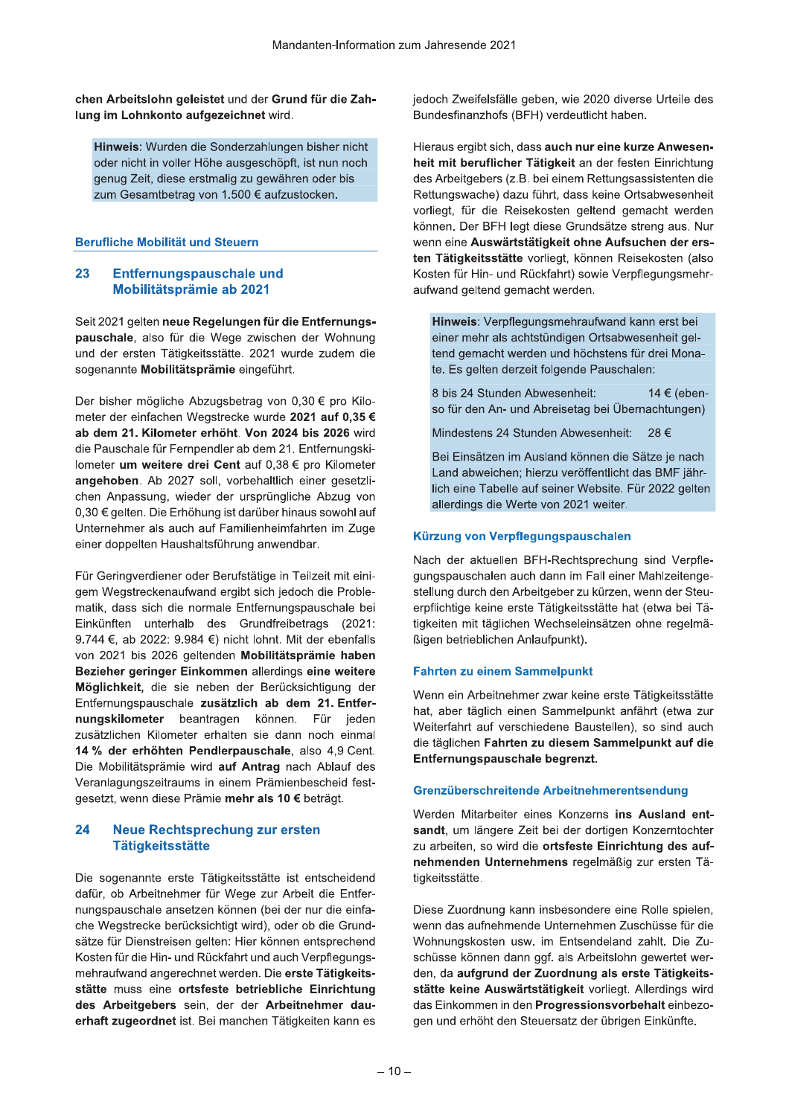chen Arbeitslohn geleistet und der Grund für die Zahlung im Lohnkonto aufgezeichnet wird.

Hinweis: Wurden die Sonderzahlungen bisher nicht oder nicht in voller Höhe ausgeschöpft, ist nun noch genug Zeit, diese erstmalig zu gewähren oder bis zum Gesamtbetrag von 1.500 € aufzustocken.

# Berufliche Mobilität und Steuern

#### 23 Entfernungspauschale und Mobilitätsprämie ab 2021

Seit 2021 gelten neue Regelungen für die Entfernungspauschale, also für die Wege zwischen der Wohnung und der ersten Tätigkeitsstätte. 2021 wurde zudem die sogenannte Mobilitätsprämie eingeführt.

Der bisher mögliche Abzugsbetrag von 0,30 € pro Kilometer der einfachen Wegstrecke wurde 2021 auf 0.35 € ab dem 21. Kilometer erhöht. Von 2024 bis 2026 wird die Pauschale für Fernpendler ab dem 21. Entfernungskilometer um weitere drei Cent auf 0,38 € pro Kilometer angehoben. Ab 2027 soll, vorbehaltlich einer gesetzlichen Anpassung, wieder der ursprüngliche Abzug von 0,30 € gelten. Die Erhöhung ist darüber hinaus sowohl auf Unternehmer als auch auf Familienheimfahrten im Zuge einer doppelten Haushaltsführung anwendbar.

Für Geringverdiener oder Berufstätige in Teilzeit mit einigem Wegstreckenaufwand ergibt sich jedoch die Problematik, dass sich die normale Entfernungspauschale bei Einkünften unterhalb des Grundfreibetrags (2021: 9.744 €, ab 2022: 9.984 €) nicht lohnt. Mit der ebenfalls von 2021 bis 2026 geltenden Mobilitätsprämie haben Bezieher geringer Einkommen allerdings eine weitere Möglichkeit, die sie neben der Berücksichtigung der Entfernungspauschale zusätzlich ab dem 21. Entfernungskilometer beantragen können. Für jeden zusätzlichen Kilometer erhalten sie dann noch einmal 14 % der erhöhten Pendlerpauschale, also 4.9 Cent. Die Mobilitätsprämie wird auf Antrag nach Ablauf des Veranlagungszeitraums in einem Prämienbescheid festgesetzt, wenn diese Prämie mehr als 10 € beträgt.

### 24 **Neue Rechtsprechung zur ersten Tätigkeitsstätte**

Die sogenannte erste Tätigkeitsstätte ist entscheidend dafür, ob Arbeitnehmer für Wege zur Arbeit die Entfernungspauschale ansetzen können (bei der nur die einfache Wegstrecke berücksichtigt wird), oder ob die Grundsätze für Dienstreisen gelten: Hier können entsprechend Kosten für die Hin- und Rückfahrt und auch Verpflegungsmehraufwand angerechnet werden. Die erste Tätigkeitsstätte muss eine ortsfeste betriebliche Einrichtung des Arbeitgebers sein, der der Arbeitnehmer dauerhaft zugeordnet ist. Bei manchen Tätigkeiten kann es jedoch Zweifelsfälle geben, wie 2020 diverse Urteile des Bundesfinanzhofs (BFH) verdeutlicht haben.

Hieraus ergibt sich, dass auch nur eine kurze Anwesenheit mit beruflicher Tätigkeit an der festen Einrichtung des Arbeitgebers (z.B. bei einem Rettungsassistenten die Rettungswache) dazu führt, dass keine Ortsabwesenheit vorliegt, für die Reisekosten geltend gemacht werden können. Der BFH legt diese Grundsätze streng aus. Nur wenn eine Auswärtstätigkeit ohne Aufsuchen der ersten Tätigkeitsstätte vorliegt, können Reisekosten (also Kosten für Hin- und Rückfahrt) sowie Verpflegungsmehraufwand geltend gemacht werden.

Hinweis: Verpflegungsmehraufwand kann erst bei einer mehr als achtstündigen Ortsabwesenheit geltend gemacht werden und höchstens für drei Monate. Es gelten derzeit folgende Pauschalen:

8 bis 24 Stunden Abwesenheit: 14 € (ebenso für den An- und Abreisetag bei Übernachtungen)

Mindestens 24 Stunden Abwesenheit:  $28 \in$ 

Bei Einsätzen im Ausland können die Sätze je nach Land abweichen; hierzu veröffentlicht das BMF jährlich eine Tabelle auf seiner Website. Für 2022 gelten allerdings die Werte von 2021 weiter.

# Kürzung von Verpflegungspauschalen

Nach der aktuellen BFH-Rechtsprechung sind Verpflegungspauschalen auch dann im Fall einer Mahlzeitengestellung durch den Arbeitgeber zu kürzen, wenn der Steuerpflichtige keine erste Tätigkeitsstätte hat (etwa bei Tätigkeiten mit täglichen Wechseleinsätzen ohne regelmäßigen betrieblichen Anlaufpunkt).

# **Fahrten zu einem Sammelpunkt**

Wenn ein Arbeitnehmer zwar keine erste Tätigkeitsstätte hat, aber täglich einen Sammelpunkt anfährt (etwa zur Weiterfahrt auf verschiedene Baustellen), so sind auch die täglichen Fahrten zu diesem Sammelpunkt auf die Entfernungspauschale begrenzt.

# Grenzüberschreitende Arbeitnehmerentsendung

Werden Mitarbeiter eines Konzerns ins Ausland entsandt, um längere Zeit bei der dortigen Konzerntochter zu arbeiten, so wird die ortsfeste Einrichtung des aufnehmenden Unternehmens regelmäßig zur ersten Tätigkeitsstätte.

Diese Zuordnung kann insbesondere eine Rolle spielen, wenn das aufnehmende Unternehmen Zuschüsse für die Wohnungskosten usw. im Entsendeland zahlt. Die Zuschüsse können dann ggf. als Arbeitslohn gewertet werden, da aufgrund der Zuordnung als erste Tätigkeitsstätte keine Auswärtstätigkeit vorliegt. Allerdings wird das Einkommen in den Progressionsvorbehalt einbezogen und erhöht den Steuersatz der übrigen Einkünfte.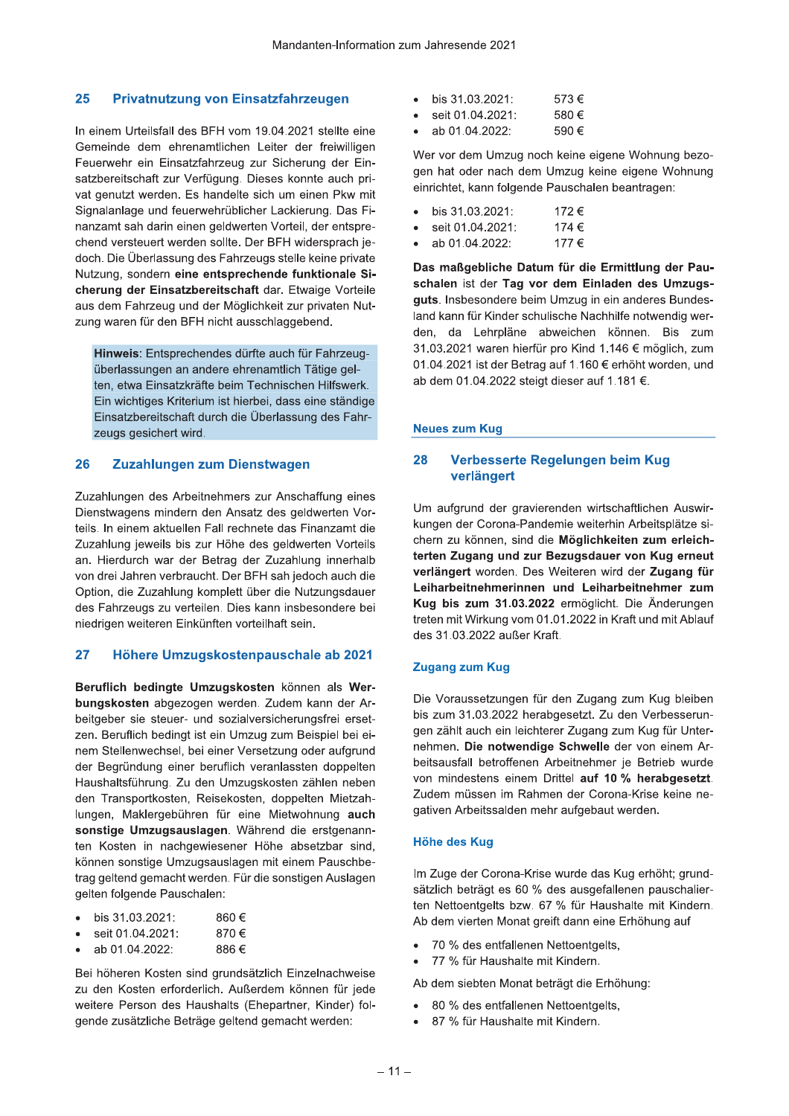#### 25 Privatnutzung von Einsatzfahrzeugen

In einem Urteilsfall des BFH vom 19.04.2021 stellte eine Gemeinde dem ehrenamtlichen Leiter der freiwilligen Feuerwehr ein Einsatzfahrzeug zur Sicherung der Einsatzbereitschaft zur Verfügung. Dieses konnte auch privat genutzt werden. Es handelte sich um einen Pkw mit Signalanlage und feuerwehrüblicher Lackierung. Das Finanzamt sah darin einen geldwerten Vorteil, der entsprechend versteuert werden sollte. Der BFH widersprach iedoch. Die Überlassung des Fahrzeugs stelle keine private Nutzung, sondern eine entsprechende funktionale Sicherung der Einsatzbereitschaft dar. Etwaige Vorteile aus dem Fahrzeug und der Möglichkeit zur privaten Nutzung waren für den BFH nicht ausschlaggebend.

Hinweis: Entsprechendes dürfte auch für Fahrzeugüberlassungen an andere ehrenamtlich Tätige gelten, etwa Einsatzkräfte beim Technischen Hilfswerk. Ein wichtiges Kriterium ist hierbei, dass eine ständige Einsatzbereitschaft durch die Überlassung des Fahrzeugs gesichert wird.

#### 26 Zuzahlungen zum Dienstwagen

Zuzahlungen des Arbeitnehmers zur Anschaffung eines Dienstwagens mindern den Ansatz des geldwerten Vorteils. In einem aktuellen Fall rechnete das Finanzamt die Zuzahlung jeweils bis zur Höhe des geldwerten Vorteils an. Hierdurch war der Betrag der Zuzahlung innerhalb von drei Jahren verbraucht. Der BFH sah jedoch auch die Option, die Zuzahlung komplett über die Nutzungsdauer des Fahrzeugs zu verteilen. Dies kann insbesondere bei niedrigen weiteren Einkünften vorteilhaft sein.

#### 27 Höhere Umzugskostenpauschale ab 2021

Beruflich bedingte Umzugskosten können als Werbungskosten abgezogen werden. Zudem kann der Arbeitgeber sie steuer- und sozialversicherungsfrei ersetzen. Beruflich bedingt ist ein Umzug zum Beispiel bei einem Stellenwechsel, bei einer Versetzung oder aufgrund der Begründung einer beruflich veranlassten doppelten Haushaltsführung. Zu den Umzugskosten zählen neben den Transportkosten, Reisekosten, doppelten Mietzahlungen, Maklergebühren für eine Mietwohnung auch sonstige Umzugsauslagen. Während die erstgenannten Kosten in nachgewiesener Höhe absetzbar sind, können sonstige Umzugsauslagen mit einem Pauschbetrag geltend gemacht werden. Für die sonstigen Auslagen gelten folgende Pauschalen:

| bis 31.03.2021: | 860€ |
|-----------------|------|

- seit 01.04.2021: 870€
- ab 01.04.2022: 886€

Bei höheren Kosten sind grundsätzlich Einzelnachweise zu den Kosten erforderlich. Außerdem können für jede weitere Person des Haushalts (Ehepartner, Kinder) folgende zusätzliche Beträge geltend gemacht werden:

| $\bullet$ | bis 31.03.2021:  | 573€ |
|-----------|------------------|------|
| ٠         | seit 01.04.2021: | 580€ |

ab 01.04.2022: 590€

Wer vor dem Umzug noch keine eigene Wohnung bezogen hat oder nach dem Umzug keine eigene Wohnung einrichtet, kann folgende Pauschalen beantragen:

- bis 31.03.2021: 172€
- seit 01.04.2021: 174 €
- ab 01 04 2022: 177€

Das maßgebliche Datum für die Ermittlung der Pauschalen ist der Tag vor dem Einladen des Umzugsguts. Insbesondere beim Umzug in ein anderes Bundesland kann für Kinder schulische Nachhilfe notwendig werden, da Lehrpläne abweichen können. Bis zum 31.03.2021 waren hierfür pro Kind 1.146 € möglich, zum 01.04.2021 ist der Betrag auf 1.160 € erhöht worden, und ab dem 01.04.2022 steigt dieser auf 1.181 €.

# **Neues zum Kug**

#### 28 Verbesserte Regelungen beim Kug verlängert

Um aufgrund der gravierenden wirtschaftlichen Auswirkungen der Corona-Pandemie weiterhin Arbeitsplätze sichern zu können, sind die Möglichkeiten zum erleichterten Zugang und zur Bezugsdauer von Kug erneut verlängert worden. Des Weiteren wird der Zugang für Leiharbeitnehmerinnen und Leiharbeitnehmer zum Kug bis zum 31.03.2022 ermöglicht. Die Änderungen treten mit Wirkung vom 01.01.2022 in Kraft und mit Ablauf des 31.03.2022 außer Kraft.

# **Zugang zum Kug**

Die Voraussetzungen für den Zugang zum Kug bleiben bis zum 31.03.2022 herabgesetzt. Zu den Verbesserungen zählt auch ein leichterer Zugang zum Kug für Unternehmen. Die notwendige Schwelle der von einem Arbeitsausfall betroffenen Arbeitnehmer je Betrieb wurde von mindestens einem Drittel auf 10 % herabgesetzt. Zudem müssen im Rahmen der Corona-Krise keine negativen Arbeitssalden mehr aufgebaut werden.

# **Höhe des Kug**

Im Zuge der Corona-Krise wurde das Kug erhöht; grundsätzlich beträgt es 60 % des ausgefallenen pauschalierten Nettoentgelts bzw. 67 % für Haushalte mit Kindern. Ab dem vierten Monat greift dann eine Erhöhung auf

- 70 % des entfallenen Nettoentgelts,
- 77 % für Haushalte mit Kindern.

Ab dem siebten Monat beträgt die Erhöhung:

- $\bullet$ 80 % des entfallenen Nettoentgelts,
- 87 % für Haushalte mit Kindern.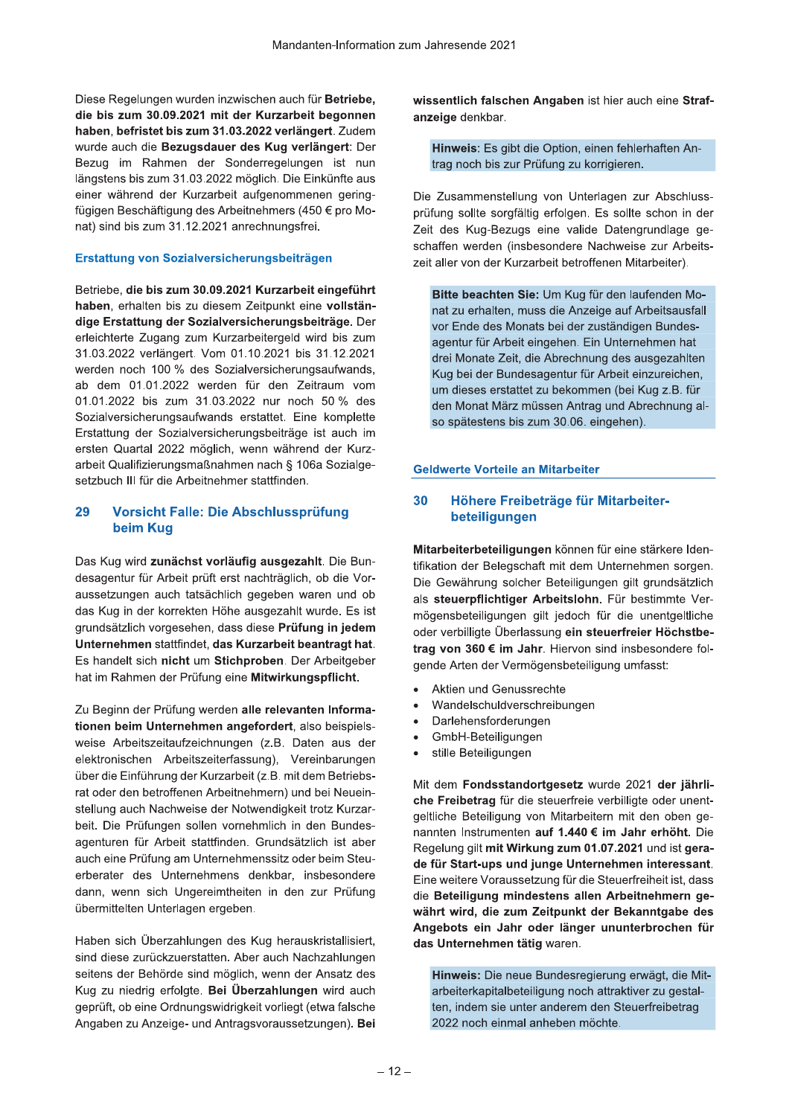Diese Regelungen wurden inzwischen auch für Betriebe, die bis zum 30.09.2021 mit der Kurzarbeit begonnen haben, befristet bis zum 31.03.2022 verlängert. Zudem wurde auch die Bezugsdauer des Kug verlängert: Der Bezug im Rahmen der Sonderregelungen ist nun längstens bis zum 31.03.2022 möglich. Die Einkünfte aus einer während der Kurzarbeit aufgenommenen geringfügigen Beschäftigung des Arbeitnehmers (450 € pro Monat) sind bis zum 31.12.2021 anrechnungsfrei.

# Erstattung von Sozialversicherungsbeiträgen

Betriebe, die bis zum 30.09.2021 Kurzarbeit eingeführt haben, erhalten bis zu diesem Zeitpunkt eine vollständige Erstattung der Sozialversicherungsbeiträge. Der erleichterte Zugang zum Kurzarbeitergeld wird bis zum 31.03.2022 verlängert. Vom 01.10.2021 bis 31.12.2021 werden noch 100 % des Sozialversicherungsaufwands, ab dem 01.01.2022 werden für den Zeitraum vom 01.01.2022 bis zum 31.03.2022 nur noch 50 % des Sozialversicherungsaufwands erstattet. Eine komplette Erstattung der Sozialversicherungsbeiträge ist auch im ersten Quartal 2022 möglich, wenn während der Kurzarbeit Qualifizierungsmaßnahmen nach § 106a Sozialgesetzbuch III für die Arbeitnehmer stattfinden.

#### 29 Vorsicht Falle: Die Abschlussprüfung beim Kug

Das Kug wird zunächst vorläufig ausgezahlt. Die Bundesagentur für Arbeit prüft erst nachträglich, ob die Voraussetzungen auch tatsächlich gegeben waren und ob das Kug in der korrekten Höhe ausgezahlt wurde. Es ist grundsätzlich vorgesehen, dass diese Prüfung in jedem Unternehmen stattfindet, das Kurzarbeit beantragt hat. Es handelt sich nicht um Stichproben. Der Arbeitgeber hat im Rahmen der Prüfung eine Mitwirkungspflicht.

Zu Beginn der Prüfung werden alle relevanten Informationen beim Unternehmen angefordert, also beispielsweise Arbeitszeitaufzeichnungen (z.B. Daten aus der elektronischen Arbeitszeiterfassung), Vereinbarungen über die Einführung der Kurzarbeit (z.B. mit dem Betriebsrat oder den betroffenen Arbeitnehmern) und bei Neueinstellung auch Nachweise der Notwendigkeit trotz Kurzarbeit. Die Prüfungen sollen vornehmlich in den Bundesagenturen für Arbeit stattfinden. Grundsätzlich ist aber auch eine Prüfung am Unternehmenssitz oder beim Steuerberater des Unternehmens denkbar, insbesondere dann, wenn sich Ungereimtheiten in den zur Prüfung übermittelten Unterlagen ergeben.

Haben sich Überzahlungen des Kug herauskristallisiert, sind diese zurückzuerstatten. Aber auch Nachzahlungen seitens der Behörde sind möglich, wenn der Ansatz des Kug zu niedrig erfolgte. Bei Überzahlungen wird auch geprüft, ob eine Ordnungswidrigkeit vorliegt (etwa falsche Angaben zu Anzeige- und Antragsvoraussetzungen). Bei wissentlich falschen Angaben ist hier auch eine Strafanzeige denkbar.

Hinweis: Es gibt die Option, einen fehlerhaften Antrag noch bis zur Prüfung zu korrigieren.

Die Zusammenstellung von Unterlagen zur Abschlussprüfung sollte sorgfältig erfolgen. Es sollte schon in der Zeit des Kug-Bezugs eine valide Datengrundlage geschaffen werden (insbesondere Nachweise zur Arbeitszeit aller von der Kurzarbeit betroffenen Mitarbeiter).

Bitte beachten Sie: Um Kug für den laufenden Monat zu erhalten, muss die Anzeige auf Arbeitsausfall vor Ende des Monats bei der zuständigen Bundesagentur für Arbeit eingehen. Ein Unternehmen hat drei Monate Zeit, die Abrechnung des ausgezahlten Kug bei der Bundesagentur für Arbeit einzureichen, um dieses erstattet zu bekommen (bei Kug z.B. für den Monat März müssen Antrag und Abrechnung also spätestens bis zum 30.06. eingehen).

# **Geldwerte Vorteile an Mitarbeiter**

#### 30 Höhere Freibeträge für Mitarbeiterbeteiligungen

Mitarbeiterbeteiligungen können für eine stärkere Identifikation der Belegschaft mit dem Unternehmen sorgen. Die Gewährung solcher Beteiligungen gilt grundsätzlich als steuerpflichtiger Arbeitslohn. Für bestimmte Vermögensbeteiligungen gilt jedoch für die unentgeltliche oder verbilligte Überlassung ein steuerfreier Höchstbetrag von 360 € im Jahr. Hiervon sind insbesondere folgende Arten der Vermögensbeteiligung umfasst:

- Aktien und Genussrechte
- Wandelschuldverschreibungen  $\bullet$
- Darlehensforderungen  $\bullet$
- GmbH-Beteiligungen
- stille Beteiligungen  $\bullet$

Mit dem Fondsstandortgesetz wurde 2021 der jährliche Freibetrag für die steuerfreie verbilligte oder unentgeltliche Beteiligung von Mitarbeitern mit den oben genannten Instrumenten auf 1.440 € im Jahr erhöht. Die Regelung gilt mit Wirkung zum 01.07.2021 und ist gerade für Start-ups und junge Unternehmen interessant. Eine weitere Voraussetzung für die Steuerfreiheit ist, dass die Beteiligung mindestens allen Arbeitnehmern gewährt wird, die zum Zeitpunkt der Bekanntgabe des Angebots ein Jahr oder länger ununterbrochen für das Unternehmen tätig waren.

Hinweis: Die neue Bundesregierung erwägt, die Mitarbeiterkapitalbeteiligung noch attraktiver zu gestalten, indem sie unter anderem den Steuerfreibetrag 2022 noch einmal anheben möchte.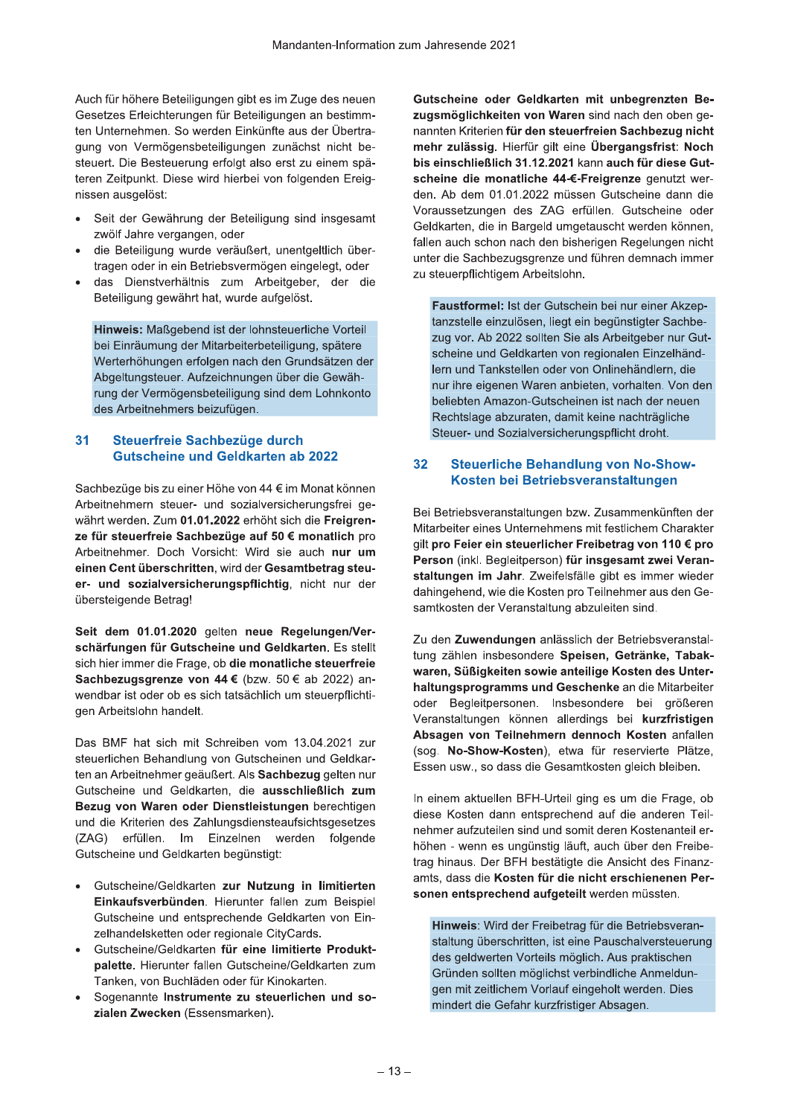Auch für nonere Beteiligungen gibt es im Zuge des neuen i Gesetzes Erieichterungen für Beteiligungen an bestimmten ∪nternenmen. So werden Einkunπe aus der Ubertra-Mandanten-Informa<br>
Schere Beteiligungen gibt es im Zuge des neuer<br>
Erleichterungen für Beteiligungen an bestimm<br>
ehmen. So werden Einkünfte aus der Übertra<br>
Vermögensbeteiligungen zunächst nicht be<br>
Besteuerung erfolgt als gung von vermogensbeteiligungen zunachst nicht besteuert. Die Besteuerung erfolgt also erst zu einem spateren Zeitpunkt. Diese wird nierbei von folgenden Ereig-Auch für höhere Beteiligungen gibt e<br>
Gesetzes Erleichterungen für Beteili<br>
ten Unternehmen. So werden Einkü<br>
gung von Vermögensbeteiligungen<br>
steuert. Die Besteuerung erfolgt als<br>
teren Zeitpunkt. Diese wird hierbei<br>
niss nissen ausgelost:

- $\bullet$  Seit der Gewanrung der Beteiligung sind insgesamt zwoir Janre vergangen, oder
- ale Betelligung wurde verauisert, unentgeltlich ubertragen oder in ein Betriebsvermogen eingelegt, oder
- $\bullet$  das Dienstvernaltnis zum Arbeitgeber, der die Betelligung gewanrt nat, wurde aurgelöst.

**Hinweis:** Maisgebend ist der lonnsteuerliche Vorteil bel Einraumung der Mitarbeiterbeteiligung, spatere vverternonungen ertolgen nach den Grundsatzen der Abgeltungsteuer. Aufzelchnungen über die Gewanrung der Vermogensbeteiligung sind dem Lonnkonto xum Arbeitgeber, der die<br>
wurde aufgelöst.<br>
t der lohnsteuerliche Vorteil<br>
rheiterbeteiligung, spätere<br>
n nach den Grundsätzen der<br>
chnungen über die Gewäh-<br>
iligung sind dem Lohnkonto<br>
rur ihmer die Gewäh-<br>
iligung sind des Arbeithenmers beizufugen.

# 31 Steuerfreie Sachbezüge durch **Gutscheine und Geldkarten ab 2022**

 $\mathsf{Sacnbezuge}$  bis zu einer Hone von 44  $\mathsf{\epsilon}$  im Monat konnen ichnungen über die Gewäh-<br>
teiligung sind dem Lohnkonto<br>
tufügen.<br>
Secher Steu<br> **Geldkarten ab 2022**<br>
Sine von 44 € im Monat können<br>
d sozialversicherungsfrei ge-<br>
2022 erhöht sich die Freigren-<br>
züge auf 50 € monatlich p Arbeithehmern steuer- und sozialversicherungsfrei gewanrt werden. Zum **01.01.2022** ernont sich die **Freigren**ze fur steuerfreie Sachbezuge auf  $50$   $\epsilon$  monatiich pro Arbeithenmer. Doch Vorsicht: Wird sie auch **nur um** einen Cent überschritten, wird der Gesamtbetrag steuer- und sozialversicherungspriichtig, nicht nur der ubersteigende Betrag!

Seit dem 01.01.2020 gelten neue Regelungen/verschärfungen für Gutscheine und Geldkarten. Es stellt sich hier immer die Frage, ob **die monatliche steuerfreie** Sachbezugsgrenze von 44 $\bm{\epsilon}$  (bzw. 50 $\bm{\epsilon}$  ab 2022) anwendbar ist oder ob es sich tatsachlich um steuerpflichtigen Arbeitsionn nandeit.

Das BMF hat sich mit Schreiben vom 13.04.2021 zur steuerlichen Behandlung von Gutscheinen und Geldkar**und Geldkarten**. Es stellt<br> **ie monatliche steuerfreie**<br> **i** (bzw. 50 € ab 2022) an-<br>
tsächlich um steuerpflichti-<br>
been vom 13.04.2021 zur<br>
Gutscheinen und Geldkar-<br>
Als Sachbezug gelten nur<br>
die ausschließlich zum<br>
st ten an Arbeithehmer geaulsert. Als **Sachbezug** gelten hur Gutscheine und Geldkarten, die **ausschließlich zum** Sachbezugsgrenze von 44 € (bzw. 50 € at wendbar ist oder ob es sich tatsächlich um st<br>gen Arbeitslohn handelt.<br>Das BMF hat sich mit Schreiben vom 13.0<br>steuerlichen Behandlung von Gutscheinen un<br>ten an Arbeitnehmer geäuße Bezug von Waren oder Dienstleistungen berechtigen und die Kriterien des Zaniungsdiensteaufsichtsgesetzes (ZAG) erfullen. Im Einzelnen werden folgende Gutscheine und Geldkarten begunstigt: Das BMF hat sich mit Schreiben vom 13<br>
steuerlichen Behandlung von Gutscheinen<br>
ten an Arbeitnehmer geäußert. Als Sachbez<br>
Gutscheine und Geldkarten, die ausschl<br>
Bezug von Waren oder Dienstleistunger<br>
und die Kriterien de ten an Arbeitnehmer geäußert. Als Sachbe:<br>
Gutscheine und Geldkarten, die aussch<br>
Bezug von Waren oder Dienstleistunge<br>
und die Kriterien des Zahlungsdiensteaufs<br>
(ZAG) erfüllen. Im Einzelnen werd<br>
Gutscheine und Geldkarte

- Gutscheine/Geldkarten zur Nutzung in limitierten Einkaufsverbunden. Hierunter fallen zum Beispiel Gutscheine und entsprechende Geldkarten von Einn oder Dienstleistungen berechtigen<br>
eles Zahlungsdiensteaufsichtsgesetzes<br>
Im Einzelnen werden folgende<br>
eldkarten begünstigt:<br>
Idkarten zur Nutzung in limitierten<br>
inden. Hierunter fallen zum Beispiel<br>
d entsprechende Ge zelnandelsketten oder regionale CityCards. und die Kriterien des Zahlungsdiens<br>
(ZAG) erfüllen. Im Einzelnen<br>
Gutscheine und Geldkarten begünstig<br>
• Gutscheine/Geldkarten zur Nutz<br>
Einkaufsverbünden. Hierunter<br>
Gutscheine und entsprechende (<br>
• Zelhandelsketten ode (ZAG) erfüllen. Im Einzelnen werd<br>
Gutscheine und Geldkarten begünstigt:<br>
• Gutscheine/Geldkarten zur Nutzung<br>
Einkaufsverbünden. Hierunter fallen<br>
Gutscheine und entsprechende Geldka<br>
zelhandelsketten oder regionale CityC arten begünstigt:<br>
frag<br>
rten zur Nutzung in limitierten<br>
m. Hierunter fallen zum Beispiel<br>
tsprechende Geldkarten von Ein-<br>
der regionale CityCards.<br>
rten für eine limitierte Produkt-<br>
fallen Gutscheine/Geldkarten zum<br>
id • Gutscheine/Geldkarten zu<br>
Einkaufsverbünden. Hier<br>
Gutscheine und entsprech<br>
zelhandelsketten oder regi<br>
• Gutscheine/Geldkarten für<br>
palette. Hierunter fallen C<br>
Tanken, von Buchläden oc<br>
• Sogenannte Instrumente<br>
ziale eldkarten zur Nutzung in limitierten<br>
inden. Hierunter fallen zum Beispiel<br>
d entsprechende Geldkarten von Ein-<br>
en oder regionale CityCards.<br>
eldkarten für eine limitierte Produkt-<br>
ther fallen Gutscheine/Geldkarten zum<br>
	- Gutscheine/Geldkarten für eine limitierte Produktpalette. Hierunter fallen Gutscheine/Geldkarten zum Tanken, von Buchladen oder für Kinokarten. \$ ufsverbünden. Hierunter fallen zum Beispineine und entsprechende Geldkarten von Eindelsketten oder regionale CityCards.<br>
	heine/Geldkarten für eine limitierte Produke.<br>
	E. Hierunter fallen Gutscheine/Geldkarten zum, von Buc
	- Sogenannte **Instrumente zu steuerlichen und so**zlalen Zwecken (Essensmarken).

Gutscheine oder Geldkarten mit unbegrenzten Be- $\boldsymbol{z}$ ugsmoglichkeiten von waren  $\boldsymbol{\mathrm{s}}$ ind nach den oben genannten Kriterien **für den steuerfreien Sachbezug nicht** menr zulassig. Hiertur glit eine Gutscheine oder Geldkarten mit unbegrenzten Be-<br>
zugsmöglichkeiten von Waren sind nach den oben ge-<br>
nannten Kriterien für den steuerfreien Sachbezug nicht<br>
mehr zulässig. Hierfür gilt eine Übergangsfrist: Noch<br>
bis einsc n auch für diese Gutscheine die monatiiche 44-€-Freigrenze genutzt werden. Ab dem 01.01.2022 mussen Gutscheine dann die voraussetzungen des ZAG erfullen. Gutscheine oder n bestimm-<br>
inicht be-<br>
inicht be-<br>
inicht be-<br>
inicht be-<br>
inicht be-<br>
inicht be-<br>
inicht be-<br>
inicht be-<br>
inicht be-<br>
inicht be-<br>
inicht be-<br>
inicht be-<br>
inicht be-<br>
inicluding the monalitic particle inicialization data ten, die in Bargeid umgetauscht werden konnen, Waren sind nach den oben ge-<br>steuerfreien Sachbezug nicht<br>It eine Übergangsfrist: Noch<br>2021 kann auch für diese Gut-<br>44-€-Freigrenze genutzt wer-<br>müssen Gutscheine dann die<br>NG erfüllen. Gutscheine oder<br>umgetauscht werden rallen auch schon nach den bisherigen Regelungen nicht unter die Sachbezugsgrenze und funren demnach immer zu steuerpflichtigem Arbeitsionn.

**Faustformel:** Ist der Gutschein bei nur einer  $F$ Folker Marketter and die aussetzungen des ZAG erfüllen. Gutscheine dann die aussetzungen des ZAG erfüllen. Gutscheine oder dkarten, die in Bargeld umgetauscht werden können, en auch schon nach den bisherigen Regelungen nic zstelle einzulosen, liegt ein begunstigter Sachbezug vor. Ab 2022 sollten Sie als Arbeitgeber hur Gutscheine und Geläkarten von regionalen Einzelnandfallen auch schon nach den bisherigen Rege<br>
unter die Sachbezugsgrenze und führen der<br>
zu steuerpflichtigem Arbeitslohn.<br> **Faustformel:** Ist der Gutschein bei nur e<br>
tanzstelle einzulösen, liegt ein begünstig<br>
zug vor. Ab iern und Tankstellen oder von Onlinenandiern, die unter die Sachbezugsgrenze und führe<br>
zu steuerpflichtigem Arbeitslohn.<br>
Faustformel: Ist der Gutschein bei<br>
tanzstelle einzulösen, liegt ein begünd<br>
zug vor. Ab 2022 sollten Sie als Art<br>
scheine und Geldkarten von region. nur inre eigenen waren anbieten, vornalten. von den bellebten Amazon-Gutscheinen ist nach der neuen Rechtslage abzuraten, damit keine nachtragliche formel: Ist der Gutschein bei nur einer Akzep-<br>File einzulösen, liegt ein begünstigter Sachbe-<br>F. Ab 2022 sollten Sie als Arbeitgeber nur Gute<br>Le und Geldkarten von regionalen Einzelhänd-<br>d Tankstellen oder von Onlinehändl Steuer- und Sozialversicherungspriicht dront.

# 32 Steuerliche Behandlung von No-Show-Kosten bei Betriebsveranstaltungen

Bei Betriebsveranstaltungen bzw. Zusammenκunπen der Gutscheinen ist nach der neuen<br>en, damit keine nachträgliche<br>versicherungspflicht droht.<br>lehandlung von No-Show-<br>etriebsveranstaltungen<br>ungen bzw. Zusammenkünften der<br>nehmens mit festlichem Charakter<br>rlicher Freibetrag vo Mitarbeiter eines Unternehmens mit festlichem Chara iit keine nachträgliche<br>rungspflicht droht.<br>**lung von No-Show-veranstaltungen**<br>zw. Zusammenkünften der<br>is mit festlichem Charakter<br>**Freibetrag von 110 € pro**<br>ir insgesamt zwei Veran-<br>fälle gibt es immer wieder<br>ro Teilnehm gilt pro Feier ein steuerlicher Freibetrag von 110 € pro Person (inkl. Begleitperson) fur insgesamt zwei veran-32 Steuerliche Behandlun<br>
Kosten bei Betriebsver<br>
ren-<br>
Mitarbeiter eines Unternehmens r<br>
gilt pro Feier ein steuerlicher Franchmens<br>
teu-<br>
staltungen im Jahr. Zweifelsfäll<br>
der<br>
staltungen im Jahr. Zweifelsfäll<br>
der<br>
samt staitungen im Jahr. Zweifelsfalle gibt es immer wieder daningenend, wie die Kosten pro Teilnenmer aus den G gerie ge-<br>
Freigren-<br>
Eie Betriebsveranstaltungen bzw. Zusammenkünften der<br>
Freigren-<br>
Mitarbeiter eines Unternehmens mit festlichem Charakter<br>
on nur um<br>
Person (inkl. Begleitperson) für insgesamt zwei Veran-<br>
staltungen der veranstaltung abzuleiten sind

samtkosten der veranstaltung abzulelten sind.<br>Zu den **Zuwendungen** anlässlich der Betriebsveranstaltung zanien insbesondere **Speisen, Getranke, Tabak**waren, Süßigkeiten sowie anteilige Kosten des Unter- $\bm{{\sf n}}$ altungsprogramms und Geschenke an die Mitarbeiter oder Begleitpersonen. Insbesondere bei großeren veranstaltungen konnen allerdings bei **kurzfristigen** samtkosten der Veranstaltung abzuleiten<br>
Zu den **Zuwendungen** anlässlich der Be<br>
tung zählen insbesondere **Speisen, Ge**<br> **waren, Süßigkeiten sowie anteilige Ko<br>
haltungsprogramms und Geschenke a<br>
oder Begleitpersonen. Insb** Absagen von Teilnehmern dennoch Kosten anfallen (sog. **No-Show-Kosten**), etwa fur reservierte Platze, Essen usw., so dass die Gesamtkosten gleich bleiben. rählen insbesondere Speisen, Getränke, Tabal, Süßigkeiten sowie anteilige Kosten des Untergsprogramms und Geschenke an die Mitarbeite Begleitpersonen. Insbesondere bei größere staltungen können allerdings bei kurzfristige

in einem aktuellen BFH-Urteil ging es um die Frage, ob haltungsprogramms und Geschichtischeit<br>
oder Begleitpersonen. Insbeschichtischer Begleitpersonen. Insbeschichter<br>
Zur (sog. No-Show-Kosten), etwa<br>
Essen usw., so dass die Gesamtk<br>
zum<br>
In einem aktuellen BFH-Urteil gir<br>
di diese Kosten dann entsprechend auf die anderen Teilnehmer aufzutellen sind und somit deren Kostenanteil ernonen - wenn es ungunstig lauπ, auch uber den Freibetrag hinaus. Der BFH bestatigte die Ansicht des Finanzamts, dass die Kosten für die nicht erschienenen Personen entsprecnend aurgeteilt werden mussten.

Hinweis: Wird der Freibetrag für die Betriebsveranstaltung uberschritten, ist eine Pauschalversteuerung des geldwerten Vortells moglich. Aus prai ünstig läuft, auch über den Freibe-<br>bestätigte die Ansicht des Finanz-<br>**n für die nicht erschienenen Per-**<br>**aufgeteilt** werden müssten.<br>Freibetrag für die Betriebsveran-<br>ten, ist eine Pauschalversteuerung<br>prieils möglich. Grunden sollten moglichst verbindliche Ahmeldungen mit zeitlichem Vorlauf eingenolt werden. Dies mindert die Gefahr kurzfristiger Absagen. sonen entsprechend aufgeteilt werden müs<br>
Hinweis: Wird der Freibetrag für die Betric<br>
staltung überschritten, ist eine Pauschalve<br>
des geldwerten Vorteils möglich. Aus prak<br>
Gründen sollten möglichst verbindliche An<br>
gen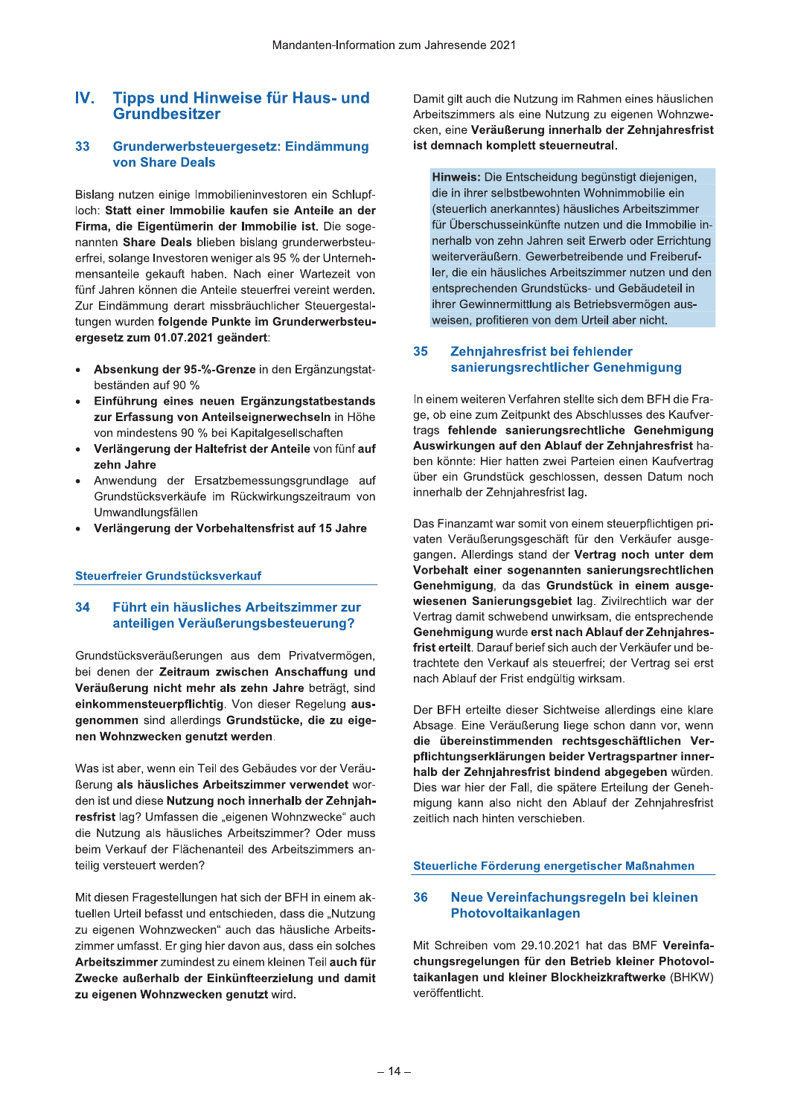## $IV.$ **Tipps und Hinweise für Haus- und** Grundbesitzer

#### 33 Grunderwerbsteuergesetz: Eindämmung **von Share Deals**

Bislang nutzen einige Immobilieninvestoren ein Schlupfloch: Statt einer Immobilie kaufen sie Anteile an der Firma, die Eigentümerin der Immobilie ist. Die sogenannten Share Deals blieben bislang grunderwerbsteuerfrei, solange Investoren weniger als 95 % der Unternehmensanteile gekauft haben. Nach einer Wartezeit von fünf Jahren können die Anteile steuerfrei vereint werden. Zur Eindämmung derart missbräuchlicher Steuergestaltungen wurden folgende Punkte im Grunderwerbsteuergesetz zum 01.07.2021 geändert:

- Absenkung der 95-%-Grenze in den Ergänzungstatbeständen auf 90 %
- Einführung eines neuen Ergänzungstatbestands zur Erfassung von Anteilseignerwechseln in Höhe von mindestens 90 % bei Kapitalgesellschaften
- Verlängerung der Haltefrist der Anteile von fünf auf zehn Jahre
- Anwendung der Ersatzbemessungsgrundlage auf Grundstücksverkäufe im Rückwirkungszeitraum von Umwandlungsfällen
- Verlängerung der Vorbehaltensfrist auf 15 Jahre

# Steuerfreier Grundstücksverkauf

### 34 Führt ein häusliches Arbeitszimmer zur anteiligen Veräußerungsbesteuerung?

Grundstücksveräußerungen aus dem Privatvermögen, bei denen der Zeitraum zwischen Anschaffung und Veräußerung nicht mehr als zehn Jahre beträgt, sind einkommensteuerpflichtig. Von dieser Regelung ausgenommen sind allerdings Grundstücke, die zu eigenen Wohnzwecken genutzt werden.

Was ist aber, wenn ein Teil des Gebäudes vor der Veräußerung als häusliches Arbeitszimmer verwendet worden ist und diese Nutzung noch innerhalb der Zehnjahresfrist lag? Umfassen die "eigenen Wohnzwecke" auch die Nutzung als häusliches Arbeitszimmer? Oder muss beim Verkauf der Flächenanteil des Arbeitszimmers anteilig versteuert werden?

Mit diesen Fragestellungen hat sich der BFH in einem aktuellen Urteil befasst und entschieden, dass die "Nutzung zu eigenen Wohnzwecken" auch das häusliche Arbeitszimmer umfasst. Er ging hier davon aus, dass ein solches Arbeitszimmer zumindest zu einem kleinen Teil auch für Zwecke außerhalb der Einkünfteerzielung und damit zu eigenen Wohnzwecken genutzt wird.

Damit gilt auch die Nutzung im Rahmen eines häuslichen Arbeitszimmers als eine Nutzung zu eigenen Wohnzwecken, eine Veräußerung innerhalb der Zehnjahresfrist ist demnach komplett steuerneutral.

Hinweis: Die Entscheidung begünstigt diejenigen, die in ihrer selbstbewohnten Wohnimmobilie ein (steuerlich anerkanntes) häusliches Arbeitszimmer für Überschusseinkünfte nutzen und die Immobilie innerhalb von zehn Jahren seit Erwerb oder Errichtung weiterveräußern. Gewerbetreibende und Freiberufler, die ein häusliches Arbeitszimmer nutzen und den entsprechenden Grundstücks- und Gebäudeteil in ihrer Gewinnermittlung als Betriebsvermögen ausweisen, profitieren von dem Urteil aber nicht.

### 35 Zehnjahresfrist bei fehlender sanierungsrechtlicher Genehmigung

In einem weiteren Verfahren stellte sich dem BFH die Frage, ob eine zum Zeitpunkt des Abschlusses des Kaufvertrags fehlende sanierungsrechtliche Genehmigung Auswirkungen auf den Ablauf der Zehnjahresfrist haben könnte: Hier hatten zwei Parteien einen Kaufvertrag über ein Grundstück geschlossen, dessen Datum noch innerhalb der Zehnjahresfrist lag.

Das Finanzamt war somit von einem steuerpflichtigen privaten Veräußerungsgeschäft für den Verkäufer ausgegangen. Allerdings stand der Vertrag noch unter dem Vorbehalt einer sogenannten sanierungsrechtlichen Genehmigung, da das Grundstück in einem ausgewiesenen Sanierungsgebiet lag. Zivilrechtlich war der Vertrag damit schwebend unwirksam, die entsprechende Genehmigung wurde erst nach Ablauf der Zehnjahresfrist erteilt. Darauf berief sich auch der Verkäufer und betrachtete den Verkauf als steuerfrei; der Vertrag sei erst nach Ablauf der Frist endgültig wirksam.

Der BFH erteilte dieser Sichtweise allerdings eine klare Absage. Eine Veräußerung liege schon dann vor, wenn die übereinstimmenden rechtsgeschäftlichen Verpflichtungserklärungen beider Vertragspartner innerhalb der Zehnjahresfrist bindend abgegeben würden. Dies war hier der Fall, die spätere Erteilung der Genehmigung kann also nicht den Ablauf der Zehnjahresfrist zeitlich nach hinten verschieben.

# Steuerliche Förderung energetischer Maßnahmen

#### 36 Neue Vereinfachungsregeln bei kleinen Photovoltaikanlagen

Mit Schreiben vom 29.10.2021 hat das BMF Vereinfachungsregelungen für den Betrieb kleiner Photovoltaikanlagen und kleiner Blockheizkraftwerke (BHKW) veröffentlicht.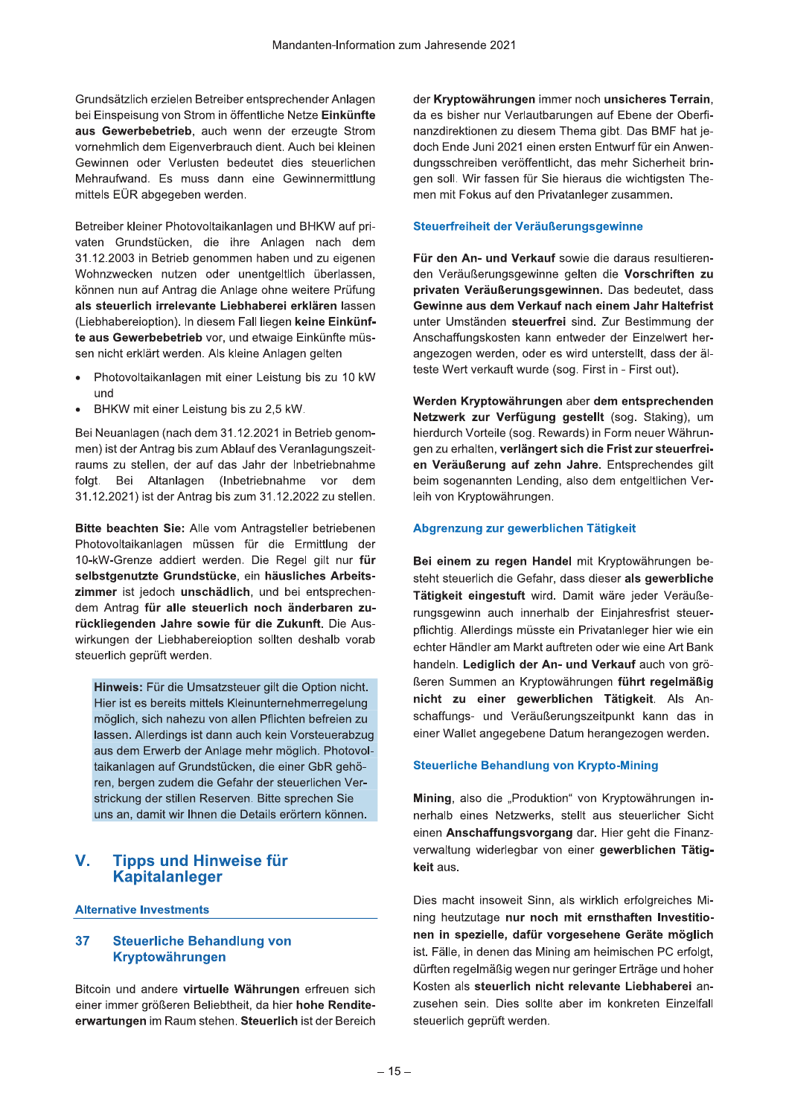Grundsätzlich erzielen Betreiber entsprechender Anlagen bei Einspeisung von Strom in öffentliche Netze Einkünfte aus Gewerbebetrieb, auch wenn der erzeugte Strom vornehmlich dem Eigenverbrauch dient. Auch bei kleinen Gewinnen oder Verlusten bedeutet dies steuerlichen Mehraufwand. Es muss dann eine Gewinnermittlung mittels EÜR abgegeben werden.

Betreiber kleiner Photovoltaikanlagen und BHKW auf privaten Grundstücken, die ihre Anlagen nach dem 31.12.2003 in Betrieb genommen haben und zu eigenen Wohnzwecken nutzen oder unentgeltlich überlassen, können nun auf Antrag die Anlage ohne weitere Prüfung als steuerlich irrelevante Liebhaberei erklären lassen (Liebhabereioption). In diesem Fall liegen keine Einkünfte aus Gewerbebetrieb vor, und etwaige Einkünfte müssen nicht erklärt werden. Als kleine Anlagen gelten

- Photovoltaikanlagen mit einer Leistung bis zu 10 kW und
- BHKW mit einer Leistung bis zu 2,5 kW.

Bei Neuanlagen (nach dem 31.12.2021 in Betrieb genommen) ist der Antrag bis zum Ablauf des Veranlagungszeitraums zu stellen, der auf das Jahr der Inbetriebnahme folgt. Bei Altanlagen (Inbetriebnahme vor dem 31.12.2021) ist der Antrag bis zum 31.12.2022 zu stellen.

Bitte beachten Sie: Alle vom Antragsteller betriebenen Photovoltaikanlagen müssen für die Ermittlung der 10-kW-Grenze addiert werden. Die Regel gilt nur für selbstgenutzte Grundstücke, ein häusliches Arbeitszimmer ist jedoch unschädlich, und bei entsprechendem Antrag für alle steuerlich noch änderbaren zurückliegenden Jahre sowie für die Zukunft. Die Auswirkungen der Liebhabereioption sollten deshalb vorab steuerlich geprüft werden.

Hinweis: Für die Umsatzsteuer gilt die Option nicht. Hier ist es bereits mittels Kleinunternehmerregelung möglich, sich nahezu von allen Pflichten befreien zu lassen. Allerdings ist dann auch kein Vorsteuerabzug aus dem Erwerb der Anlage mehr möglich. Photovoltaikanlagen auf Grundstücken, die einer GbR gehören, bergen zudem die Gefahr der steuerlichen Verstrickung der stillen Reserven. Bitte sprechen Sie uns an, damit wir Ihnen die Details erörtern können.

## V. **Tipps und Hinweise für Kapitalanleger**

# **Alternative Investments**

#### 37 **Steuerliche Behandlung von** Kryptowährungen

Bitcoin und andere virtuelle Währungen erfreuen sich einer immer größeren Beliebtheit, da hier hohe Renditeerwartungen im Raum stehen. Steuerlich ist der Bereich der Kryptowährungen immer noch unsicheres Terrain, da es bisher nur Verlautbarungen auf Ebene der Oberfinanzdirektionen zu diesem Thema gibt. Das BMF hat jedoch Ende Juni 2021 einen ersten Entwurf für ein Anwendungsschreiben veröffentlicht, das mehr Sicherheit bringen soll. Wir fassen für Sie hieraus die wichtigsten Themen mit Fokus auf den Privatanleger zusammen.

# Steuerfreiheit der Veräußerungsgewinne

Für den An- und Verkauf sowie die daraus resultierenden Veräußerungsgewinne gelten die Vorschriften zu privaten Veräußerungsgewinnen. Das bedeutet, dass Gewinne aus dem Verkauf nach einem Jahr Haltefrist unter Umständen steuerfrei sind. Zur Bestimmung der Anschaffungskosten kann entweder der Einzelwert herangezogen werden, oder es wird unterstellt, dass der älteste Wert verkauft wurde (sog. First in - First out).

Werden Kryptowährungen aber dem entsprechenden Netzwerk zur Verfügung gestellt (sog. Staking), um hierdurch Vorteile (sog. Rewards) in Form neuer Währungen zu erhalten, verlängert sich die Frist zur steuerfreien Veräußerung auf zehn Jahre. Entsprechendes gilt beim sogenannten Lending, also dem entgeltlichen Verleih von Kryptowährungen.

# Abgrenzung zur gewerblichen Tätigkeit

Bei einem zu regen Handel mit Kryptowährungen besteht steuerlich die Gefahr, dass dieser als gewerbliche Tätigkeit eingestuft wird. Damit wäre jeder Veräußerungsgewinn auch innerhalb der Einjahresfrist steuerpflichtig. Allerdings müsste ein Privatanleger hier wie ein echter Händler am Markt auftreten oder wie eine Art Bank handeln. Lediglich der An- und Verkauf auch von größeren Summen an Kryptowährungen führt regelmäßig nicht zu einer gewerblichen Tätigkeit. Als Anschaffungs- und Veräußerungszeitpunkt kann das in einer Wallet angegebene Datum herangezogen werden.

# **Steuerliche Behandlung von Krypto-Mining**

Mining, also die "Produktion" von Kryptowährungen innerhalb eines Netzwerks, stellt aus steuerlicher Sicht einen Anschaffungsvorgang dar. Hier geht die Finanzverwaltung widerlegbar von einer gewerblichen Tätigkeit aus.

Dies macht insoweit Sinn, als wirklich erfolgreiches Mining heutzutage nur noch mit ernsthaften Investitionen in spezielle, dafür vorgesehene Geräte möglich ist. Fälle, in denen das Mining am heimischen PC erfolgt, dürften regelmäßig wegen nur geringer Erträge und hoher Kosten als steuerlich nicht relevante Liebhaberei anzusehen sein. Dies sollte aber im konkreten Einzelfall steuerlich geprüft werden.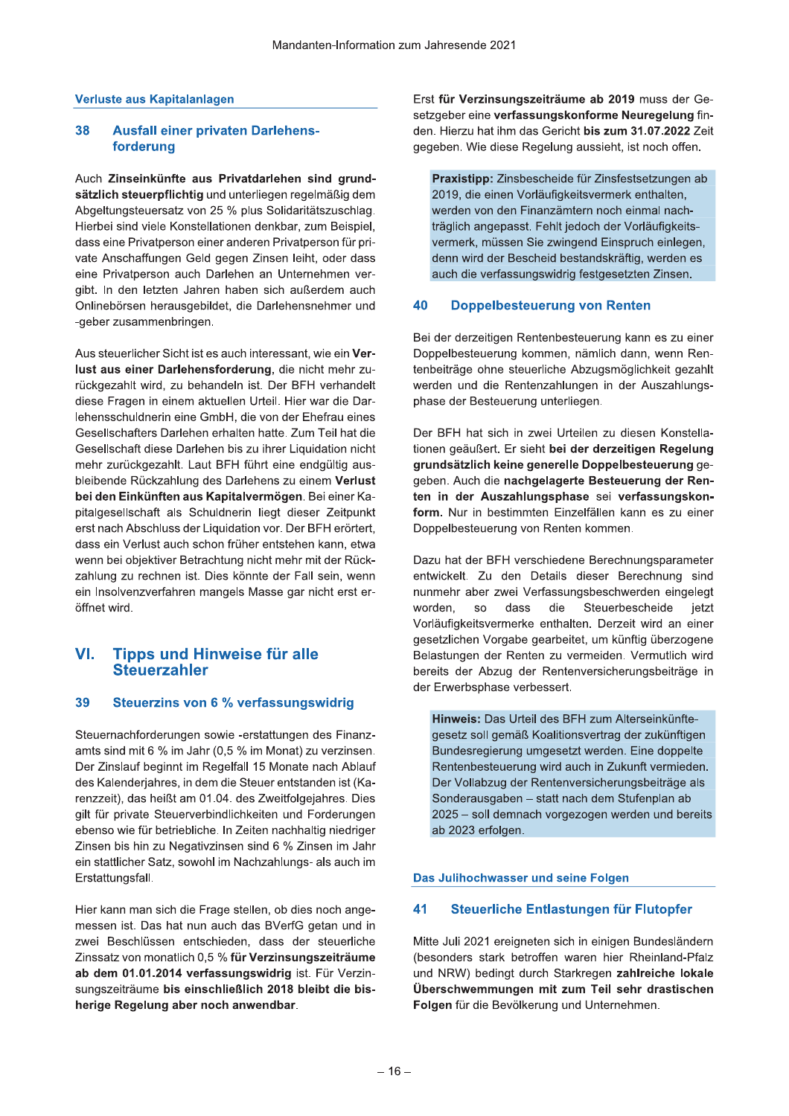# Verluste aus Kapitalanlagen

#### 38 **Ausfall einer privaten Darlehens**forderung

Auch Zinseinkünfte aus Privatdarlehen sind grundsätzlich steuerpflichtig und unterliegen regelmäßig dem Abgeltungsteuersatz von 25 % plus Solidaritätszuschlag. Hierbei sind viele Konstellationen denkbar, zum Beispiel, dass eine Privatperson einer anderen Privatperson für private Anschaffungen Geld gegen Zinsen leiht, oder dass eine Privatperson auch Darlehen an Unternehmen vergibt. In den letzten Jahren haben sich außerdem auch Onlinebörsen herausgebildet, die Darlehensnehmer und -geber zusammenbringen.

Aus steuerlicher Sicht ist es auch interessant, wie ein Verlust aus einer Darlehensforderung, die nicht mehr zurückgezahlt wird, zu behandeln ist. Der BFH verhandelt diese Fragen in einem aktuellen Urteil. Hier war die Darlehensschuldnerin eine GmbH, die von der Ehefrau eines Gesellschafters Darlehen erhalten hatte. Zum Teil hat die Gesellschaft diese Darlehen bis zu ihrer Liquidation nicht mehr zurückgezahlt. Laut BFH führt eine endgültig ausbleibende Rückzahlung des Darlehens zu einem Verlust bei den Einkünften aus Kapitalvermögen. Bei einer Kapitalgesellschaft als Schuldnerin liegt dieser Zeitpunkt erst nach Abschluss der Liquidation vor. Der BFH erörtert, dass ein Verlust auch schon früher entstehen kann, etwa wenn bei objektiver Betrachtung nicht mehr mit der Rückzahlung zu rechnen ist. Dies könnte der Fall sein, wenn ein Insolvenzverfahren mangels Masse gar nicht erst eröffnet wird.

### VI. **Tipps und Hinweise für alle Steuerzahler**

#### **Steuerzins von 6 % verfassungswidrig** 39

Steuernachforderungen sowie -erstattungen des Finanzamts sind mit 6 % im Jahr (0,5 % im Monat) zu verzinsen. Der Zinslauf beginnt im Regelfall 15 Monate nach Ablauf des Kalenderjahres, in dem die Steuer entstanden ist (Karenzzeit), das heißt am 01.04. des Zweitfolgejahres. Dies gilt für private Steuerverbindlichkeiten und Forderungen ebenso wie für betriebliche. In Zeiten nachhaltig niedriger Zinsen bis hin zu Negativzinsen sind 6 % Zinsen im Jahr ein stattlicher Satz, sowohl im Nachzahlungs- als auch im Erstattungsfall.

Hier kann man sich die Frage stellen, ob dies noch angemessen ist. Das hat nun auch das BVerfG getan und in zwei Beschlüssen entschieden, dass der steuerliche Zinssatz von monatlich 0,5 % für Verzinsungszeiträume ab dem 01.01.2014 verfassungswidrig ist. Für Verzinsungszeiträume bis einschließlich 2018 bleibt die bisherige Regelung aber noch anwendbar.

Erst für Verzinsungszeiträume ab 2019 muss der Gesetzgeber eine verfassungskonforme Neuregelung finden. Hierzu hat ihm das Gericht bis zum 31.07.2022 Zeit gegeben. Wie diese Regelung aussieht, ist noch offen.

Praxistipp: Zinsbescheide für Zinsfestsetzungen ab 2019, die einen Vorläufigkeitsvermerk enthalten, werden von den Finanzämtern noch einmal nachträglich angepasst. Fehlt jedoch der Vorläufigkeitsvermerk, müssen Sie zwingend Einspruch einlegen, denn wird der Bescheid bestandskräftig, werden es auch die verfassungswidrig festgesetzten Zinsen.

#### 40 **Doppelbesteuerung von Renten**

Bei der derzeitigen Rentenbesteuerung kann es zu einer Doppelbesteuerung kommen, nämlich dann, wenn Rentenbeiträge ohne steuerliche Abzugsmöglichkeit gezahlt werden und die Rentenzahlungen in der Auszahlungsphase der Besteuerung unterliegen.

Der BFH hat sich in zwei Urteilen zu diesen Konstellationen geäußert. Er sieht bei der derzeitigen Regelung grundsätzlich keine generelle Doppelbesteuerung gegeben. Auch die nachgelagerte Besteuerung der Renten in der Auszahlungsphase sei verfassungskonform. Nur in bestimmten Einzelfällen kann es zu einer Doppelbesteuerung von Renten kommen.

Dazu hat der BFH verschiedene Berechnungsparameter entwickelt. Zu den Details dieser Berechnung sind nunmehr aber zwei Verfassungsbeschwerden eingelegt die worden. **SO** dass Steuerbescheide ietzt Vorläufigkeitsvermerke enthalten. Derzeit wird an einer gesetzlichen Vorgabe gearbeitet, um künftig überzogene Belastungen der Renten zu vermeiden. Vermutlich wird bereits der Abzug der Rentenversicherungsbeiträge in der Erwerbsphase verbessert.

Hinweis: Das Urteil des BFH zum Alterseinkünftegesetz soll gemäß Koalitionsvertrag der zukünftigen Bundesregierung umgesetzt werden. Eine doppelte Rentenbesteuerung wird auch in Zukunft vermieden. Der Vollabzug der Rentenversicherungsbeiträge als Sonderausgaben - statt nach dem Stufenplan ab 2025 - soll demnach vorgezogen werden und bereits ab 2023 erfolgen.

# Das Julihochwasser und seine Folgen

#### 41 Steuerliche Entlastungen für Flutopfer

Mitte Juli 2021 ereigneten sich in einigen Bundesländern (besonders stark betroffen waren hier Rheinland-Pfalz und NRW) bedingt durch Starkregen zahlreiche lokale Überschwemmungen mit zum Teil sehr drastischen Folgen für die Bevölkerung und Unternehmen.